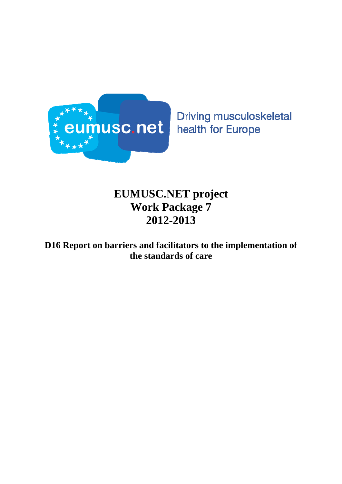

**Driving musculoskeletal** health for Europe

# **EUMUSC.NET project Work Package 7 2012-2013**

## **D16 Report on barriers and facilitators to the implementation of the standards of care**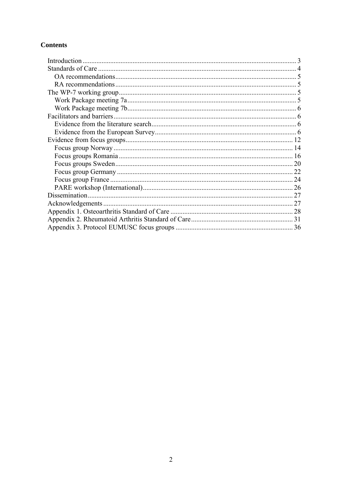#### **Contents**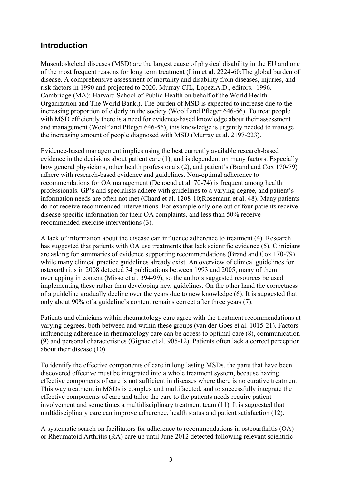## <span id="page-2-0"></span>**Introduction**

Musculoskeletal diseases (MSD) are the largest cause of physical disability in the EU and one of the most frequent reasons for long term treatment (Lim et al. 2224-60;The global burden of disease. A comprehensive assessment of mortality and disability from diseases, injuries, and risk factors in 1990 and projected to 2020. Murray CJL, Lopez.A.D., editors. 1996. Cambridge (MA): Harvard School of Public Health on behalf of the World Health Organization and The World Bank.). The burden of MSD is expected to increase due to the increasing proportion of elderly in the society (Woolf and Pfleger 646-56). To treat people with MSD efficiently there is a need for evidence-based knowledge about their assessment and management (Woolf and Pfleger 646-56), this knowledge is urgently needed to manage the increasing amount of people diagnosed with MSD (Murray et al. 2197-223).

Evidence-based management implies using the best currently available research-based evidence in the decisions about patient care (1), and is dependent on many factors. Especially how general physicians, other health professionals (2), and patient's (Brand and Cox 170-79) adhere with research-based evidence and guidelines. Non-optimal adherence to recommendations for OA management (Denoeud et al. 70-74) is frequent among health professionals. GP's and specialists adhere with guidelines to a varying degree, and patient's information needs are often not met (Chard et al. 1208-10;Rosemann et al. 48). Many patients do not receive recommended interventions. For example only one out of four patients receive disease specific information for their OA complaints, and less than 50% receive recommended exercise interventions (3).

A lack of information about the disease can influence adherence to treatment (4). Research has suggested that patients with OA use treatments that lack scientific evidence (5). Clinicians are asking for summaries of evidence supporting recommendations (Brand and Cox 170-79) while many clinical practice guidelines already exist. An overview of clinical guidelines for osteoarthritis in 2008 detected 34 publications between 1993 and 2005, many of them overlapping in content (Misso et al. 394-99), so the authors suggested resources be used implementing these rather than developing new guidelines. On the other hand the correctness of a guideline gradually decline over the years due to new knowledge (6). It is suggested that only about 90% of a guideline's content remains correct after three years (7).

Patients and clinicians within rheumatology care agree with the treatment recommendations at varying degrees, both between and within these groups (van der Goes et al. 1015-21). Factors influencing adherence in rheumatology care can be access to optimal care (8), communication (9) and personal characteristics (Gignac et al. 905-12). Patients often lack a correct perception about their disease (10).

To identify the effective components of care in long lasting MSDs, the parts that have been discovered effective must be integrated into a whole treatment system, because having effective components of care is not sufficient in diseases where there is no curative treatment. This way treatment in MSDs is complex and multifaceted, and to successfully integrate the effective components of care and tailor the care to the patients needs require patient involvement and some times a multidisciplinary treatment team (11). It is suggested that multidisciplinary care can improve adherence, health status and patient satisfaction (12).

A systematic search on facilitators for adherence to recommendations in osteoarthritis (OA) or Rheumatoid Arthritis (RA) care up until June 2012 detected following relevant scientific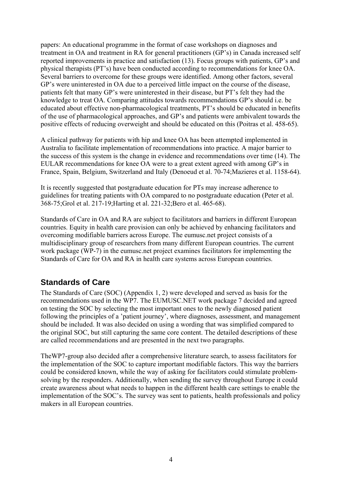<span id="page-3-0"></span>papers: An educational programme in the format of case workshops on diagnoses and treatment in OA and treatment in RA for general practitioners (GP's) in Canada increased self reported improvements in practice and satisfaction (13). Focus groups with patients, GP's and physical therapists (PT's) have been conducted according to recommendations for knee OA. Several barriers to overcome for these groups were identified. Among other factors, several GP's were uninterested in OA due to a perceived little impact on the course of the disease, patients felt that many GP's were uninterested in their disease, but PT's felt they had the knowledge to treat OA. Comparing attitudes towards recommendations GP's should i.e. be educated about effective non-pharmacological treatments, PT's should be educated in benefits of the use of pharmacological approaches, and GP's and patients were ambivalent towards the positive effects of reducing overweight and should be educated on this (Poitras et al. 458-65).

A clinical pathway for patients with hip and knee OA has been attempted implemented in Australia to facilitate implementation of recommendations into practice. A major barrier to the success of this system is the change in evidence and recommendations over time (14). The EULAR recommendations for knee OA were to a great extent agreed with among GP's in France, Spain, Belgium, Switzerland and Italy (Denoeud et al. 70-74;Mazieres et al. 1158-64).

It is recently suggested that postgraduate education for PTs may increase adherence to guidelines for treating patients with OA compared to no postgraduate education (Peter et al. 368-75;Grol et al. 217-19;Harting et al. 221-32;Bero et al. 465-68).

Standards of Care in OA and RA are subject to facilitators and barriers in different European countries. Equity in health care provision can only be achieved by enhancing facilitators and overcoming modifiable barriers across Europe. The eumusc.net project consists of a multidisciplinary group of researchers from many different European countries. The current work package (WP-7) in the eumusc.net project examines facilitators for implementing the Standards of Care for OA and RA in health care systems across European countries.

## **Standards of Care**

The Standards of Care (SOC) (Appendix 1, 2) were developed and served as basis for the recommendations used in the WP7. The EUMUSC.NET work package 7 decided and agreed on testing the SOC by selecting the most important ones to the newly diagnosed patient following the principles of a 'patient journey', where diagnoses, assessment, and management should be included. It was also decided on using a wording that was simplified compared to the original SOC, but still capturing the same core content. The detailed descriptions of these are called recommendations and are presented in the next two paragraphs.

TheWP7-group also decided after a comprehensive literature search, to assess facilitators for the implementation of the SOC to capture important modifiable factors. This way the barriers could be considered known, while the way of asking for facilitators could stimulate problemsolving by the responders. Additionally, when sending the survey throughout Europe it could create awareness about what needs to happen in the different health care settings to enable the implementation of the SOC's. The survey was sent to patients, health professionals and policy makers in all European countries.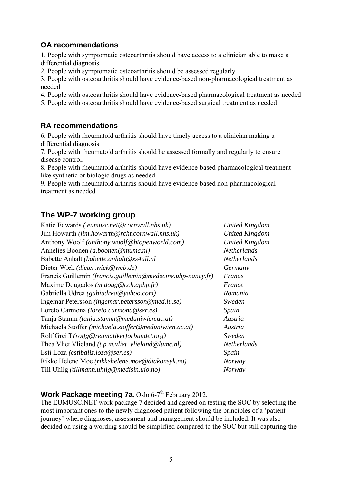### <span id="page-4-0"></span>**OA recommendations**

1. People with symptomatic osteoarthritis should have access to a clinician able to make a differential diagnosis

2. People with symptomatic osteoarthritis should be assessed regularly

3. People with osteoarthritis should have evidence-based non-pharmacological treatment as needed

4. People with osteoarthritis should have evidence-based pharmacological treatment as needed

5. People with osteoarthritis should have evidence-based surgical treatment as needed

## **RA recommendations**

6. People with rheumatoid arthritis should have timely access to a clinician making a differential diagnosis

7. People with rheumatoid arthritis should be assessed formally and regularly to ensure disease control.

8. People with rheumatoid arthritis should have evidence-based pharmacological treatment like synthetic or biologic drugs as needed

9. People with rheumatoid arthritis should have evidence-based non-pharmacological treatment as needed

## **The WP-7 working group**

| Katie Edwards (eumusc.net@cornwall.nhs.uk)                  | <b>United Kingdom</b> |
|-------------------------------------------------------------|-----------------------|
| Jim Howarth (jim.howarth@rcht.cornwall.nhs.uk)              | <b>United Kingdom</b> |
| Anthony Woolf (anthony.woolf@btopenworld.com)               | <b>United Kingdom</b> |
| Annelies Boonen (a.boonen@mumc.nl)                          | <b>Netherlands</b>    |
| Babette Anhalt (babette.anhalt@xs4all.nl                    | Netherlands           |
| Dieter Wiek (dieter.wiek@web.de)                            | Germany               |
| Francis Guillemin (francis.guillemin@medecine.uhp-nancy.fr) | France                |
| Maxime Dougados $(m.doug@cch.aphp.fr)$                      | France                |
| Gabriella Udrea (gabiudrea@yahoo.com)                       | Romania               |
| Ingemar Petersson (ingemar.petersson@med.lu.se)             | Sweden                |
| Loreto Carmona (loreto.carmona@ser.es)                      | Spain                 |
| Tanja Stamm (tanja.stamm@meduniwien.ac.at)                  | Austria               |
| Michaela Stoffer (michaela.stoffer@meduniwien.ac.at)        | Austria               |
| Rolf Greiff (rolfg@reumatikerforbundet.org)                 | Sweden                |
| Thea Vliet Vlieland $(t.p.m.vliet_vlieland@lumc.nl)$        | <b>Netherlands</b>    |
| Esti Loza (estibaliz.loza@ser.es)                           | Spain                 |
| Rikke Helene Moe (rikkehelene.moe@diakonsyk.no)             | <b>Norway</b>         |
| Till Uhlig (tillmann.uhlig@medisin.uio.no)                  | Norway                |

### **Work Package meeting 7a**, Oslo 6-7<sup>th</sup> February 2012.

The EUMUSC.NET work package 7 decided and agreed on testing the SOC by selecting the most important ones to the newly diagnosed patient following the principles of a 'patient journey' where diagnoses, assessment and management should be included. It was also decided on using a wording should be simplified compared to the SOC but still capturing the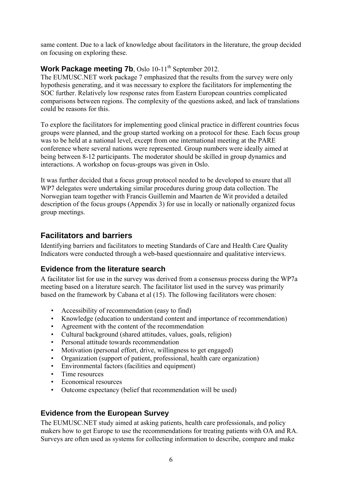<span id="page-5-0"></span>same content. Due to a lack of knowledge about facilitators in the literature, the group decided on focusing on exploring these.

### **Work Package meeting 7b**, Oslo 10-11<sup>th</sup> September 2012.

The EUMUSC.NET work package 7 emphasized that the results from the survey were only hypothesis generating, and it was necessary to explore the facilitators for implementing the SOC further. Relatively low response rates from Eastern European countries complicated comparisons between regions. The complexity of the questions asked, and lack of translations could be reasons for this.

To explore the facilitators for implementing good clinical practice in different countries focus groups were planned, and the group started working on a protocol for these. Each focus group was to be held at a national level, except from one international meeting at the PARE conference where several nations were represented. Group numbers were ideally aimed at being between 8-12 participants. The moderator should be skilled in group dynamics and interactions. A workshop on focus-groups was given in Oslo.

It was further decided that a focus group protocol needed to be developed to ensure that all WP7 delegates were undertaking similar procedures during group data collection. The Norwegian team together with Francis Guillemin and Maarten de Wit provided a detailed description of the focus groups (Appendix 3) for use in locally or nationally organized focus group meetings.

## **Facilitators and barriers**

Identifying barriers and facilitators to meeting Standards of Care and Health Care Quality Indicators were conducted through a web-based questionnaire and qualitative interviews.

## **Evidence from the literature search**

A facilitator list for use in the survey was derived from a consensus process during the WP7a meeting based on a literature search. The facilitator list used in the survey was primarily based on the framework by Cabana et al (15). The following facilitators were chosen:

- Accessibility of recommendation (easy to find)
- Knowledge (education to understand content and importance of recommendation)
- Agreement with the content of the recommendation
- Cultural background (shared attitudes, values, goals, religion)
- Personal attitude towards recommendation
- Motivation (personal effort, drive, willingness to get engaged)
- Organization (support of patient, professional, health care organization)
- Environmental factors (facilities and equipment)
- Time resources
- Economical resources
- Outcome expectancy (belief that recommendation will be used)

## **Evidence from the European Survey**

The EUMUSC.NET study aimed at asking patients, health care professionals, and policy makers how to get Europe to use the recommendations for treating patients with OA and RA. Surveys are often used as systems for collecting information to describe, compare and make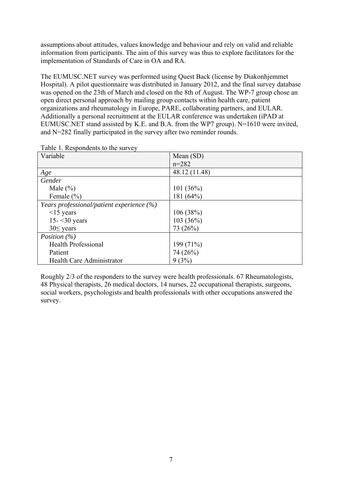assumptions about attitudes, values knowledge and behaviour and rely on valid and reliable information from participants. The aim of this survey was thus to explore facilitators for the implementation of Standards of Care in OA and RA.

The EUMUSC.NET survey was performed using Quest Back (license by Diakonhjemmet Hospital). A pilot questionnaire was distributed in January 2012, and the final survey database was opened on the 23th of March and closed on the 8th of August. The WP-7 group chose an open direct personal approach by mailing group contacts within health care, patient organizations and rheumatology in Europe, PARE, collaborating partners, and EULAR. Additionally a personal recruitment at the EULAR conference was undertaken (iPAD at EUMUSC.NET stand assisted by K.E. and B.A. from the WP7 group). N=1610 were invited, and N=282 finally participated in the survey after two reminder rounds.

| Mean $(SD)$   |
|---------------|
| $n = 282$     |
| 48.12 (11.48) |
|               |
| 101(36%)      |
| 181 (64%)     |
|               |
| 106(38%)      |
| 103(36%)      |
| 73 (26%)      |
|               |
| 199(71%)      |
| 74 (26%)      |
| 9(3%)         |
|               |

Table 1. Respondents to the survey

Roughly 2/3 of the responders to the survey were health professionals. 67 Rheumatologists, 48 Physical therapists, 26 medical doctors, 14 nurses, 22 occupational therapists, surgeons, social workers, psychologists and health professionals with other occupations answered the survey.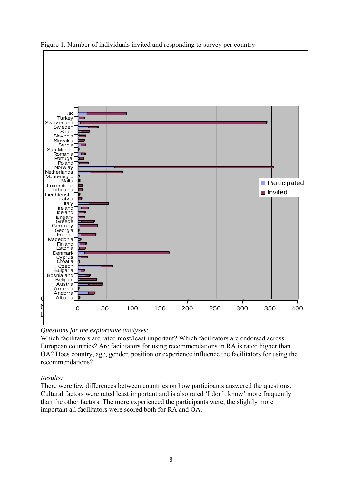



#### *Questions for the explorative analyses:*

Which facilitators are rated most/least important? Which facilitators are endorsed across European countries? Are facilitators for using recommendations in RA is rated higher than OA? Does country, age, gender, position or experience influence the facilitators for using the recommendations?

#### *Results:*

There were few differences between countries on how participants answered the questions. Cultural factors were rated least important and is also rated 'I don't know' more frequently than the other factors. The more experienced the participants were, the slightly more important all facilitators were scored both for RA and OA.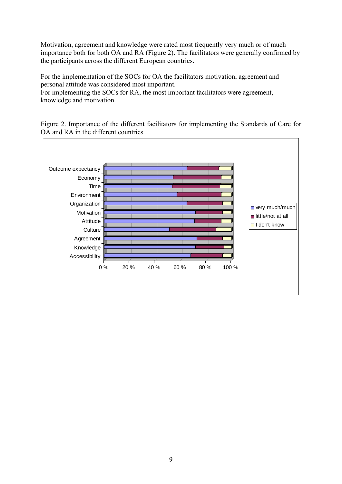Motivation, agreement and knowledge were rated most frequently very much or of much importance both for both OA and RA (Figure 2). The facilitators were generally confirmed by the participants across the different European countries.

For the implementation of the SOCs for OA the facilitators motivation, agreement and personal attitude was considered most important.

For implementing the SOCs for RA, the most important facilitators were agreement, knowledge and motivation.

Figure 2. Importance of the different facilitators for implementing the Standards of Care for OA and RA in the different countries

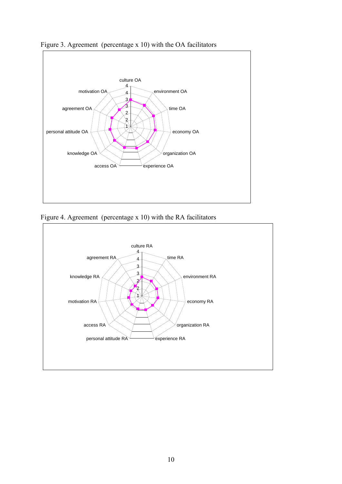



Figure 4. Agreement (percentage x 10) with the RA facilitators

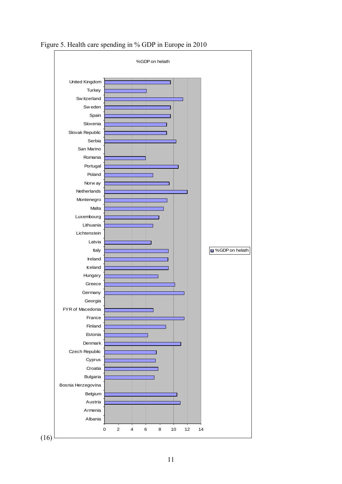

Figure 5. Health care spending in % GDP in Europe in 2010

(16)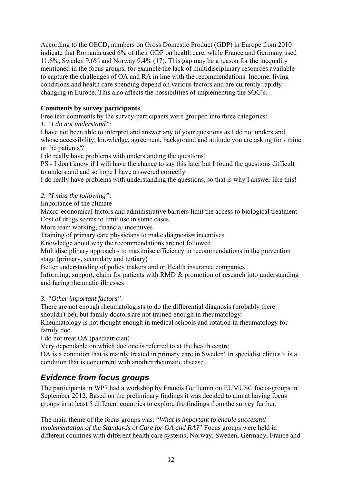<span id="page-11-0"></span>According to the OECD, numbers on Gross Domestic Product (GDP) in Europe from 2010 indicate that Romania used 6% of their GDP on health care, while France and Germany used 11.6%, Sweden 9.6% and Norway 9.4% (17). This gap may be a reason for the inequality mentioned in the focus groups, for example the lack of multidisciplinary resources available to capture the challenges of OA and RA in line with the recommendations. Income, living conditions and health care spending depend on various factors and are currently rapidly changing in Europe. This also affects the possibilities of implementing the SOC's.

#### **Comments by survey participants**

Free text comments by the survey-participants were grouped into three categories:

*1. "I do not understand":* 

I have not been able to interpret and answer any of your questions as I do not understand whose accessibility, knowledge, agreement, background and attitude you are asking for - mine or the patients'?

I do really have problems with understanding the questions!

PS - I don't know if I will have the chance to say this later but I found the questions difficult to understand and so hope I have answered correctly

I do really have problems with understanding the questions, so that is why I answer like this!

### *2. "I miss the following":*

Importance of the climate

Macro-economical factors and administrative barriers limit the access to biological treatment Cost of drugs seems to limit use in some cases

More team working, financial incentives

Training of primary care physicians to make diagnosis= incentives

Knowledge about why the recommendations are not followed

Multidisciplinary approach - to maximise efficiency in recommendations in the prevention stage (primary, secondary and tertiary)

Better understanding of policy makers and or Health insurance companies

Informing, support, claim for patients with RMD & promotion of research into understanding and facing rheumatic illnesses

#### *3. "Other important factors"*:

There are not enough rheumatologists to do the differential diagnosis (probably there shouldn't be), but family doctors are not trained enough in rheumatology.

Rheumatology is not thought enough in medical schools and rotation in rheumatology for family doc.

I do not treat OA (paediatrician)

Very dependable on which doc one is referred to at the health centre

OA is a condition that is mainly treated in primary care in Sweden! In specialist clinics it is a condition that is concurrent with another rheumatic disease.

## *Evidence from focus groups*

The participants in WP7 had a workshop by Francis Guillemin on EUMUSC focus-groups in September 2012. Based on the preliminary findings it was decided to aim at having focus groups in at least 5 different countries to explore the findings from the survey further.

The main theme of the focus groups was: "*What is important to enable successful implementation of the Standards of Care for OA and RA?*" Focus groups were held in different countries with different health care systems; Norway, Sweden, Germany, France and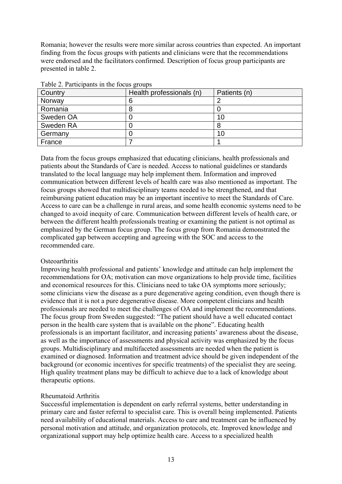Romania; however the results were more similar across countries than expected. An important finding from the focus groups with patients and clinicians were that the recommendations were endorsed and the facilitators confirmed. Description of focus group participants are presented in table 2.

| Country   | Health professionals (n) | Patients (n) |
|-----------|--------------------------|--------------|
| Norway    | n                        |              |
| Romania   |                          |              |
| Sweden OA |                          | 10           |
| Sweden RA |                          |              |
| Germany   |                          | 10           |
| France    |                          |              |

Table 2. Participants in the focus groups

Data from the focus groups emphasized that educating clinicians, health professionals and patients about the Standards of Care is needed. Access to national guidelines or standards translated to the local language may help implement them. Information and improved communication between different levels of health care was also mentioned as important. The focus groups showed that multidisciplinary teams needed to be strengthened, and that reimbursing patient education may be an important incentive to meet the Standards of Care. Access to care can be a challenge in rural areas, and some health economic systems need to be changed to avoid inequity of care. Communication between different levels of health care, or between the different health professionals treating or examining the patient is not optimal as emphasized by the German focus group. The focus group from Romania demonstrated the complicated gap between accepting and agreeing with the SOC and access to the recommended care.

#### **Osteoarthritis**

Improving health professional and patients' knowledge and attitude can help implement the recommendations for OA; motivation can move organizations to help provide time, facilities and economical resources for this. Clinicians need to take OA symptoms more seriously; some clinicians view the disease as a pure degenerative ageing condition, even though there is evidence that it is not a pure degenerative disease. More competent clinicians and health professionals are needed to meet the challenges of OA and implement the recommendations. The focus group from Sweden suggested: "The patient should have a well educated contact person in the health care system that is available on the phone". Educating health professionals is an important facilitator, and increasing patients' awareness about the disease, as well as the importance of assessments and physical activity was emphasized by the focus groups. Multidisciplinary and multifaceted assessments are needed when the patient is examined or diagnosed. Information and treatment advice should be given independent of the background (or economic incentives for specific treatments) of the specialist they are seeing. High quality treatment plans may be difficult to achieve due to a lack of knowledge about therapeutic options.

#### Rheumatoid Arthritis

Successful implementation is dependent on early referral systems, better understanding in primary care and faster referral to specialist care. This is overall being implemented. Patients need availability of educational materials. Access to care and treatment can be influenced by personal motivation and attitude, and organization protocols, etc. Improved knowledge and organizational support may help optimize health care. Access to a specialized health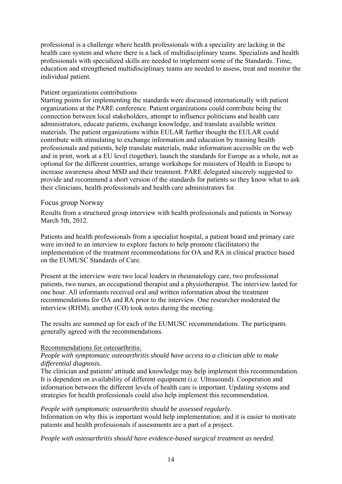<span id="page-13-0"></span>professional is a challenge where health professionals with a speciality are lacking in the health care system and where there is a lack of multidisciplinary teams. Specialists and health professionals with specialized skills are needed to implement some of the Standards. Time, education and strengthened multidisciplinary teams are needed to assess, treat and monitor the individual patient.

#### Patient organizations contributions

Starting points for implementing the standards were discussed internationally with patient organizations at the PARE conference. Patient organizations could contribute being the connection between local stakeholders, attempt to influence politicians and health care administrators, educate patients, exchange knowledge, and translate available written materials. The patient organizations within EULAR further thought the EULAR could contribute with stimulating to exchange information and education by training health professionals and patients, help translate materials, make information accessible on the web and in print, work at a EU level (together), launch the standards for Europe as a whole, not as optional for the different countries, arrange workshops for ministers of Health in Europe to increase awareness about MSD and their treatment. PARE delegated sincerely suggested to provide and recommend a short version of the standards for patients so they know what to ask their clinicians, health professionals and health care administrators for.

#### Focus group Norway

Results from a structured group interview with health professionals and patients in Norway March 5th, 2012.

Patients and health professionals from a specialist hospital, a patient board and primary care were invited to an interview to explore factors to help promote (facilitators) the implementation of the treatment recommendations for OA and RA in clinical practice based on the EUMUSC Standards of Care.

Present at the interview were two local leaders in rheumatology care, two professional patients, two nurses, an occupational therapist and a physiotherapist. The interview lasted for one hour. All informants received oral and written information about the treatment recommendations for OA and RA prior to the interview. One researcher moderated the interview (RHM), another (CØ) took notes during the meeting.

The results are summed up for each of the EUMUSC recommendations. The participants generally agreed with the recommendations.

#### Recommendations for osteoarthritis:

#### *People with symptomatic osteoarthritis should have access to a clinician able to make differential diagnosis.*

The clinician and patients' attitude and knowledge may help implement this recommendation. It is dependent on availability of different equipment (i.e. Ultrasound). Cooperation and information between the different levels of health care is important. Updating systems and strategies for health professionals could also help implement this recommendation.

#### *People with symptomatic osteoarthritis should be assessed regularly.*

Information on why this is important would help implementation; and it is easier to motivate patients and health professionals if assessments are a part of a project.

*People with osteoarthritis should have evidence-based surgical treatment as needed.*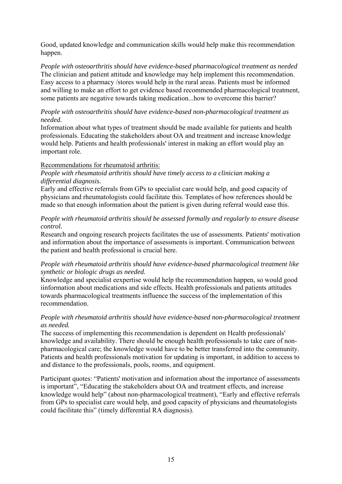Good, updated knowledge and communication skills would help make this recommendation happen.

*People with osteoarthritis should have evidence-based pharmacological treatment as needed*  The clinician and patient attitude and knowledge may help implement this recommendation. Easy access to a pharmacy /stores would help in the rural areas. Patients must be informed and willing to make an effort to get evidence based recommended pharmacological treatment, some patients are negative towards taking medication...how to overcome this barrier?

#### *People with osteoarthritis should have evidence-based non-pharmacological treatment as needed.*

Information about what types of treatment should be made available for patients and health professionals. Educating the stakeholders about OA and treatment and increase knowledge would help. Patients and health professionals' interest in making an effort would play an important role.

#### Recommendations for rheumatoid arthritis:

#### *People with rheumatoid arthritis should have timely access to a clinician making a differential diagnosis.*

Early and effective referrals from GPs to specialist care would help, and good capacity of physicians and rheumatologists could facilitate this. Templates of how references should be made so that enough information about the patient is given during referral would ease this.

#### *People with rheumatoid arthritis should be assessed formally and regularly to ensure disease control.*

Research and ongoing research projects facilitates the use of assessments. Patients' motivation and information about the importance of assessments is important. Communication between the patient and health professional is crucial here.

#### *People with rheumatoid arthritis should have evidence-based pharmacological treatment like synthetic or biologic drugs as needed.*

Knowledge and specialist eexpertise would help the recommendation happen, so would good iinformation about medications and side effects. Health professionals and patients attitudes towards pharmacological treatments influence the success of the implementation of this recommendation.

#### *People with rheumatoid arthritis should have evidence-based non-pharmacological treatment as needed.*

The success of implementing this recommendation is dependent on Health professionals' knowledge and availability. There should be enough health professionals to take care of nonpharmacological care; the knowledge would have to be better transferred into the community. Patients and health professionals motivation for updating is important, in addition to access to and distance to the professionals, pools, rooms, and equipment.

Participant quotes: "Patients' motivation and information about the importance of assessments is important", "Educating the stakeholders about OA and treatment effects, and increase knowledge would help" (about non-pharmacological treatment), "Early and effective referrals from GPs to specialist care would help, and good capacity of physicians and rheumatologists could facilitate this" (timely differential RA diagnosis).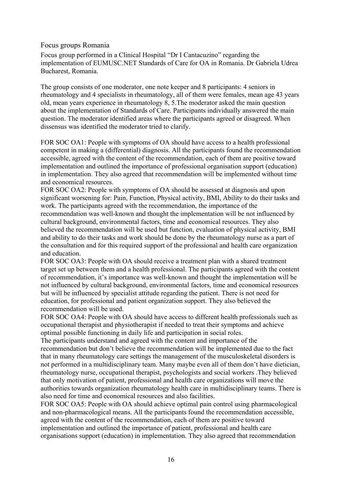<span id="page-15-0"></span>Focus groups Romania

Focus group performed in a Clinical Hospital "Dr I Cantacuzino" regarding the implementation of EUMUSC.NET Standards of Care for OA in Romania. Dr Gabriela Udrea Bucharest, Romania.

The group consists of one moderator, one note keeper and 8 participants: 4 seniors in rheumatology and 4 specialists in rheumatology, all of them were females, mean age 43 years old, mean years experience in rheumatology 8, 5.The moderator asked the main question about the implementation of Standards of Care. Participants individually answered the main question. The moderator identified areas where the participants agreed or disagreed. When dissensus was identified the moderator tried to clarify.

FOR SOC OA1: People with symptoms of OA should have access to a health professional competent in making a (differential) diagnosis. All the participants found the recommendation accessible, agreed with the content of the recommendation, each of them are positive toward implementation and outlined the importance of professional organisation support (education) in implementation. They also agreed that recommendation will be implemented without time and economical resources.

FOR SOC OA2: People with symptoms of OA should be assessed at diagnosis and upon significant worsening for: Pain, Function, Physical activity, BMI, Ability to do their tasks and work. The participants agreed with the recommendation, the importance of the recommendation was well-known and thought the implementation will be not influenced by cultural background, environmental factors, time and economical resources. They also believed the recommendation will be used but function, evaluation of physical activity, BMI and ability to do their tasks and work should be done by the rheumatology nurse as a part of the consultation and for this required support of the professional and health care organization and education.

FOR SOC OA3: People with OA should receive a treatment plan with a shared treatment target set up between them and a health professional. The participants agreed with the content of recommendation, it's importance was well-known and thought the implementation will be not influenced by cultural background, environmental factors, time and economical resources but will be influenced by specialist attitude regarding the patient. There is not need for education, for professional and patient organization support. They also believed the recommendation will be used.

FOR SOC OA4: People with OA should have access to different health professionals such as occupational therapist and physiotherapist if needed to treat their symptoms and achieve optimal possible functioning in daily life and participation in social roles.

The participants understand and agreed with the content and importance of the recommendation but don't believe the recommendation will be implemented due to the fact that in many rheumatology care settings the management of the musculoskeletal disorders is not performed in a multidisciplinary team. Many maybe even all of them don't have dietician, rheumatology nurse, occupational therapist, psychologists and social workers .They believed that only motivation of patient, professional and health care organizations will move the authorities towards organization rheumatology health care in multidisciplinary teams. There is also need for time and economical resources and also facilities.

FOR SOC OA5: People with OA should achieve optimal pain control using pharmacological and non-pharmacological means. All the participants found the recommendation accessible, agreed with the content of the recommendation, each of them are positive toward implementation and outlined the importance of patient, professional and health care organisations support (education) in implementation. They also agreed that recommendation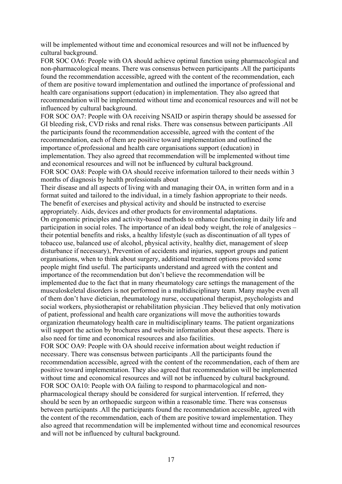will be implemented without time and economical resources and will not be influenced by cultural background.

FOR SOC OA6: People with OA should achieve optimal function using pharmacological and non-pharmacological means. There was consensus between participants .All the participants found the recommendation accessible, agreed with the content of the recommendation, each of them are positive toward implementation and outlined the importance of professional and health care organisations support (education) in implementation. They also agreed that recommendation will be implemented without time and economical resources and will not be influenced by cultural background.

FOR SOC OA7: People with OA receiving NSAID or aspirin therapy should be assessed for GI bleeding risk, CVD risks and renal risks. There was consensus between participants .All the participants found the recommendation accessible, agreed with the content of the recommendation, each of them are positive toward implementation and outlined the importance of,professional and health care organisations support (education) in implementation. They also agreed that recommendation will be implemented without time and economical resources and will not be influenced by cultural background.

FOR SOC OA8: People with OA should receive information tailored to their needs within 3 months of diagnosis by health professionals about

Their disease and all aspects of living with and managing their OA, in written form and in a format suited and tailored to the individual, in a timely fashion appropriate to their needs. The benefit of exercises and physical activity and should be instructed to exercise appropriately. Aids, devices and other products for environmental adaptations.

On ergonomic principles and activity-based methods to enhance functioning in daily life and participation in social roles. The importance of an ideal body weight, the role of analgesics – their potential benefits and risks, a healthy lifestyle (such as discontinuation of all types of tobacco use, balanced use of alcohol, physical activity, healthy diet, management of sleep disturbance if necessary), Prevention of accidents and injuries, support groups and patient organisations, when to think about surgery, additional treatment options provided some people might find useful. The participants understand and agreed with the content and importance of the recommendation but don't believe the recommendation will be implemented due to the fact that in many rheumatology care settings the management of the musculoskeletal disorders is not performed in a multidisciplinary team. Many maybe even all of them don't have dietician, rheumatology nurse, occupational therapist, psychologists and social workers, physiotherapist or rehabilitation physician .They believed that only motivation of patient, professional and health care organizations will move the authorities towards organization rheumatology health care in multidisciplinary teams. The patient organizations will support the action by brochures and website information about these aspects. There is also need for time and economical resources and also facilities.

FOR SOC OA9: People with OA should receive information about weight reduction if necessary. There was consensus between participants .All the participants found the recommendation accessible, agreed with the content of the recommendation, each of them are positive toward implementation. They also agreed that recommendation will be implemented without time and economical resources and will not be influenced by cultural background. FOR SOC OA10: People with OA failing to respond to pharmacological and nonpharmacological therapy should be considered for surgical intervention. If referred, they should be seen by an orthopaedic surgeon within a reasonable time. There was consensus between participants .All the participants found the recommendation accessible, agreed with the content of the recommendation, each of them are positive toward implementation. They also agreed that recommendation will be implemented without time and economical resources and will not be influenced by cultural background.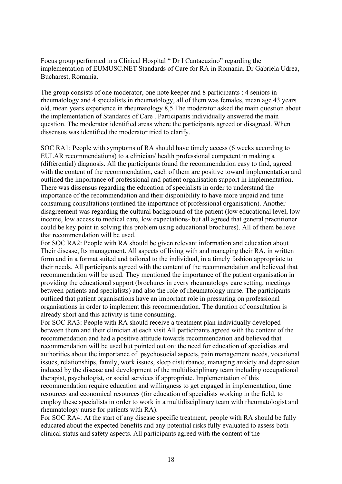Focus group performed in a Clinical Hospital " Dr I Cantacuzino" regarding the implementation of EUMUSC.NET Standards of Care for RA in Romania. Dr Gabriela Udrea, Bucharest, Romania.

The group consists of one moderator, one note keeper and 8 participants : 4 seniors in rheumatology and 4 specialists in rheumatology, all of them was females, mean age 43 years old, mean years experience in rheumatology 8,5.The moderator asked the main question about the implementation of Standards of Care . Participants individually answered the main question. The moderator identified areas where the participants agreed or disagreed. When dissensus was identified the moderator tried to clarify.

SOC RA1: People with symptoms of RA should have timely access (6 weeks according to EULAR recommendations) to a clinician/ health professional competent in making a (differential) diagnosis. All the participants found the recommendation easy to find, agreed with the content of the recommendation, each of them are positive toward implementation and outlined the importance of professional and patient organisation support in implementation. There was dissensus regarding the education of specialists in order to understand the importance of the recommendation and their disponibility to have more unpaid and time consuming consultations (outlined the importance of professional organisation). Another disagreement was regarding the cultural background of the patient (low educational level, low income, low access to medical care, low expectations- but all agreed that general practitioner could be key point in solving this problem using educational brochures). All of them believe that recommendation will be used.

For SOC RA2: People with RA should be given relevant information and education about Their disease, Its management. All aspects of living with and managing their RA, in written form and in a format suited and tailored to the individual, in a timely fashion appropriate to their needs. All participants agreed with the content of the recommendation and believed that recommendation will be used. They mentioned the importance of the patient organisation in providing the educational support (brochures in every rheumatology care setting, meetings between patients and specialists) and also the role of rheumatology nurse. The participants outlined that patient organisations have an important role in pressuring on professional organisations in order to implement this recommendation. The duration of consultation is already short and this activity is time consuming.

For SOC RA3: People with RA should receive a treatment plan individually developed between them and their clinician at each visit.All participants agreed with the content of the recommendation and had a positive attitude towards recommendation and believed that recommendation will be used but pointed out on: the need for education of specialists and authorities about the importance of psychosocial aspects, pain management needs, vocational issues, relationships, family, work issues, sleep disturbance, managing anxiety and depression induced by the disease and development of the multidisciplinary team including occupational therapist, psychologist, or social services if appropriate. Implementation of this recommendation require education and willingness to get engaged in implementation, time resources and economical resources (for education of specialists working in the field, to employ these specialists in order to work in a multidisciplinary team with rheumatologist and rheumatology nurse for patients with RA).

For SOC RA4: At the start of any disease specific treatment, people with RA should be fully educated about the expected benefits and any potential risks fully evaluated to assess both clinical status and safety aspects. All participants agreed with the content of the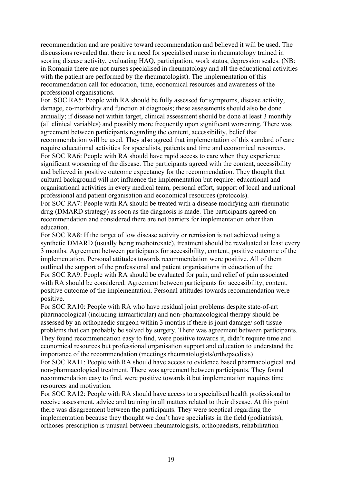recommendation and are positive toward recommendation and believed it will be used. The discussions revealed that there is a need for specialised nurse in rheumatology trained in scoring disease activity, evaluating HAQ, participation, work status, depression scales. (NB: in Romania there are not nurses specialised in rheumatology and all the educational activities with the patient are performed by the rheumatologist). The implementation of this recommendation call for education, time, economical resources and awareness of the professional organisations.

For SOC RA5: People with RA should be fully assessed for symptoms, disease activity, damage, co-morbidity and function at diagnosis; these assessments should also be done annually; if disease not within target, clinical assessment should be done at least 3 monthly (all clinical variables) and possibly more frequently upon significant worsening. There was agreement between participants regarding the content, accessibility, belief that recommendation will be used. They also agreed that implementation of this standard of care require educational activities for specialists, patients and time and economical resources. For SOC RA6: People with RA should have rapid access to care when they experience significant worsening of the disease. The participants agreed with the content, accessibility and believed in positive outcome expectancy for the recommendation. They thought that cultural background will not influence the implementation but require: educational and organisational activities in every medical team, personal effort, support of local and national professional and patient organisation and economical resources (protocols).

For SOC RA7: People with RA should be treated with a disease modifying anti-rheumatic drug (DMARD strategy) as soon as the diagnosis is made. The participants agreed on recommendation and considered there are not barriers for implementation other than education.

For SOC RA8: If the target of low disease activity or remission is not achieved using a synthetic DMARD (usually being methotrexate), treatment should be revaluated at least every 3 months. Agreement between participants for accessibility, content, positive outcome of the implementation. Personal attitudes towards recommendation were positive. All of them outlined the support of the professional and patient organisations in education of the For SOC RA9: People with RA should be evaluated for pain, and relief of pain associated with RA should be considered. Agreement between participants for accessibility, content, positive outcome of the implementation. Personal attitudes towards recommendation were positive.

For SOC RA10: People with RA who have residual joint problems despite state-of-art pharmacological (including intraarticular) and non-pharmacological therapy should be assessed by an orthopaedic surgeon within 3 months if there is joint damage/ soft tissue problems that can probably be solved by surgery. There was agreement between participants. They found recommendation easy to find, were positive towards it, didn't require time and economical resources but professional organisation support and education to understand the importance of the recommendation (meetings rheumatologists/orthopaedists)

For SOC RA11: People with RA should have access to evidence based pharmacological and non-pharmacological treatment. There was agreement between participants. They found recommendation easy to find, were positive towards it but implementation requires time resources and motivation.

For SOC RA12: People with RA should have access to a specialised health professional to receive assessment, advice and training in all matters related to their disease. At this point there was disagreement between the participants. They were sceptical regarding the implementation because they thought we don't have specialists in the field (podiatrists), orthoses prescription is unusual between rheumatologists, orthopaedists, rehabilitation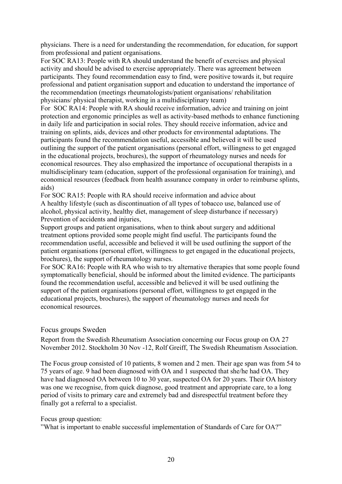<span id="page-19-0"></span>physicians. There is a need for understanding the recommendation, for education, for support from professional and patient organisations.

For SOC RA13: People with RA should understand the benefit of exercises and physical activity and should be advised to exercise appropriately. There was agreement between participants. They found recommendation easy to find, were positive towards it, but require professional and patient organisation support and education to understand the importance of the recommendation (meetings rheumatologists/patient organisations/ rehabilitation physicians/ physical therapist, working in a multidisciplinary team)

For SOC RA14: People with RA should receive information, advice and training on joint protection and ergonomic principles as well as activity-based methods to enhance functioning in daily life and participation in social roles. They should receive information, advice and training on splints, aids, devices and other products for environmental adaptations. The participants found the recommendation useful, accessible and believed it will be used outlining the support of the patient organisations (personal effort, willingness to get engaged in the educational projects, brochures), the support of rheumatology nurses and needs for economical resources. They also emphasized the importance of occupational therapists in a multidisciplinary team (education, support of the professional organisation for training), and economical resources (feedback from health assurance company in order to reimburse splints, aids)

For SOC RA15: People with RA should receive information and advice about A healthy lifestyle (such as discontinuation of all types of tobacco use, balanced use of alcohol, physical activity, healthy diet, management of sleep disturbance if necessary) Prevention of accidents and injuries,

Support groups and patient organisations, when to think about surgery and additional treatment options provided some people might find useful. The participants found the recommendation useful, accessible and believed it will be used outlining the support of the patient organisations (personal effort, willingness to get engaged in the educational projects, brochures), the support of rheumatology nurses.

For SOC RA16: People with RA who wish to try alternative therapies that some people found symptomatically beneficial, should be informed about the limited evidence. The participants found the recommendation useful, accessible and believed it will be used outlining the support of the patient organisations (personal effort, willingness to get engaged in the educational projects, brochures), the support of rheumatology nurses and needs for economical resources.

#### Focus groups Sweden

Report from the Swedish Rheumatism Association concerning our Focus group on OA 27 November 2012. Stockholm 30 Nov -12, Rolf Greiff, The Swedish Rheumatism Association.

The Focus group consisted of 10 patients, 8 women and 2 men. Their age span was from 54 to 75 years of age. 9 had been diagnosed with OA and 1 suspected that she/he had OA. They have had diagnosed OA between 10 to 30 year, suspected OA for 20 years. Their OA history was one we recognise, from quick diagnose, good treatment and appropriate care, to a long period of visits to primary care and extremely bad and disrespectful treatment before they finally got a referral to a specialist.

Focus group question:

"What is important to enable successful implementation of Standards of Care for OA?"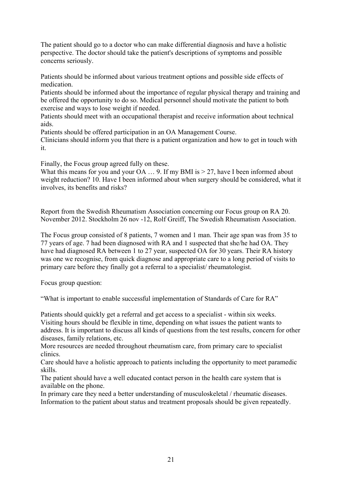The patient should go to a doctor who can make differential diagnosis and have a holistic perspective. The doctor should take the patient's descriptions of symptoms and possible concerns seriously.

Patients should be informed about various treatment options and possible side effects of medication.

Patients should be informed about the importance of regular physical therapy and training and be offered the opportunity to do so. Medical personnel should motivate the patient to both exercise and ways to lose weight if needed.

Patients should meet with an occupational therapist and receive information about technical aids.

Patients should be offered participation in an OA Management Course.

Clinicians should inform you that there is a patient organization and how to get in touch with it.

Finally, the Focus group agreed fully on these.

What this means for you and your OA ... 9. If my BMI is  $> 27$ , have I been informed about weight reduction? 10. Have I been informed about when surgery should be considered, what it involves, its benefits and risks?

Report from the Swedish Rheumatism Association concerning our Focus group on RA 20. November 2012. Stockholm 26 nov -12, Rolf Greiff, The Swedish Rheumatism Association.

The Focus group consisted of 8 patients, 7 women and 1 man. Their age span was from 35 to 77 years of age. 7 had been diagnosed with RA and 1 suspected that she/he had OA. They have had diagnosed RA between 1 to 27 year, suspected OA for 30 years. Their RA history was one we recognise, from quick diagnose and appropriate care to a long period of visits to primary care before they finally got a referral to a specialist/ rheumatologist.

Focus group question:

"What is important to enable successful implementation of Standards of Care for RA"

Patients should quickly get a referral and get access to a specialist - within six weeks. Visiting hours should be flexible in time, depending on what issues the patient wants to address. It is important to discuss all kinds of questions from the test results, concern for other diseases, family relations, etc.

More resources are needed throughout rheumatism care, from primary care to specialist clinics.

Care should have a holistic approach to patients including the opportunity to meet paramedic skills.

The patient should have a well educated contact person in the health care system that is available on the phone.

In primary care they need a better understanding of musculoskeletal / rheumatic diseases. Information to the patient about status and treatment proposals should be given repeatedly.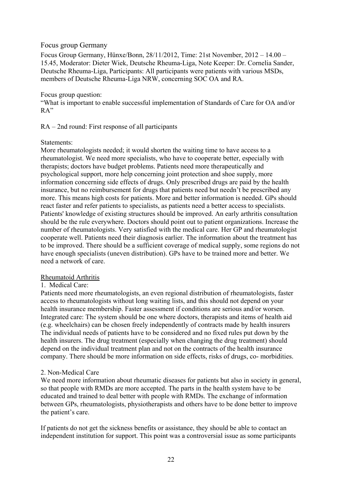#### <span id="page-21-0"></span>Focus group Germany

Focus Group Germany, Hünxe/Bonn, 28/11/2012, Time: 21st November, 2012 – 14.00 – 15.45, Moderator: Dieter Wiek, Deutsche Rheuma-Liga, Note Keeper: Dr. Cornelia Sander, Deutsche Rheuma-Liga, Participants: All participants were patients with various MSDs, members of Deutsche Rheuma-Liga NRW, concerning SOC OA and RA.

#### Focus group question:

"What is important to enable successful implementation of Standards of Care for OA and/or RA"

#### RA – 2nd round: First response of all participants

#### Statements:

More rheumatologists needed; it would shorten the waiting time to have access to a rheumatologist. We need more specialists, who have to cooperate better, especially with therapists; doctors have budget problems. Patients need more therapeutically and psychological support, more help concerning joint protection and shoe supply, more information concerning side effects of drugs. Only prescribed drugs are paid by the health insurance, but no reimbursement for drugs that patients need but needn't be prescribed any more. This means high costs for patients. More and better information is needed. GPs should react faster and refer patients to specialists, as patients need a better access to specialists. Patients' knowledge of existing structures should be improved. An early arthritis consultation should be the rule everywhere. Doctors should point out to patient organizations. Increase the number of rheumatologists. Very satisfied with the medical care. Her GP and rheumatologist cooperate well. Patients need their diagnosis earlier. The information about the treatment has to be improved. There should be a sufficient coverage of medical supply, some regions do not have enough specialists (uneven distribution). GPs have to be trained more and better. We need a network of care.

#### Rheumatoid Arthritis

#### 1. Medical Care:

Patients need more rheumatologists, an even regional distribution of rheumatologists, faster access to rheumatologists without long waiting lists, and this should not depend on your health insurance membership. Faster assessment if conditions are serious and/or worsen. Integrated care: The system should be one where doctors, therapists and items of health aid (e.g. wheelchairs) can be chosen freely independently of contracts made by health insurers The individual needs of patients have to be considered and no fixed rules put down by the health insurers. The drug treatment (especially when changing the drug treatment) should depend on the individual treatment plan and not on the contracts of the health insurance company. There should be more information on side effects, risks of drugs, co- morbidities.

#### 2. Non-Medical Care

We need more information about rheumatic diseases for patients but also in society in general, so that people with RMDs are more accepted. The parts in the health system have to be educated and trained to deal better with people with RMDs. The exchange of information between GPs, rheumatologists, physiotherapists and others have to be done better to improve the patient's care.

If patients do not get the sickness benefits or assistance, they should be able to contact an independent institution for support. This point was a controversial issue as some participants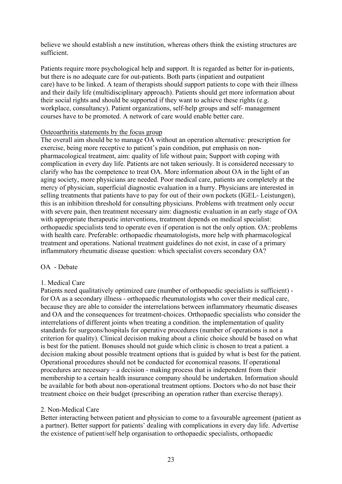believe we should establish a new institution, whereas others think the existing structures are sufficient.

Patients require more psychological help and support. It is regarded as better for in-patients, but there is no adequate care for out-patients. Both parts (inpatient and outpatient care) have to be linked. A team of therapists should support patients to cope with their illness and their daily life (multidisciplinary approach). Patients should get more information about their social rights and should be supported if they want to achieve these rights (e.g. workplace, consultancy). Patient organizations, self-help groups and self- management courses have to be promoted. A network of care would enable better care.

#### Osteoarthritis statements by the focus group

The overall aim should be to manage OA without an operation alternative: prescription for exercise, being more receptive to patient's pain condition, put emphasis on nonpharmacological treatment, aim: quality of life without pain; Support with coping with complication in every day life. Patients are not taken seriously. It is considered necessary to clarify who has the competence to treat OA. More information about OA in the light of an aging society, more physicians are needed. Poor medical care, patients are completely at the mercy of physician, superficial diagnostic evaluation in a hurry. Physicians are interested in selling treatments that patients have to pay for out of their own pockets (IGEL- Leistungen), this is an inhibition threshold for consulting physicians. Problems with treatment only occur with severe pain, then treatment necessary aim: diagnostic evaluation in an early stage of OA with appropriate therapeutic interventions, treatment depends on medical specialist: orthopaedic specialists tend to operate even if operation is not the only option. OA: problems with health care. Preferable: orthopaedic rheumatologists, more help with pharmacological treatment and operations. National treatment guidelines do not exist, in case of a primary inflammatory rheumatic disease question: which specialist covers secondary OA?

#### OA - Debate

#### 1. Medical Care

Patients need qualitatively optimized care (number of orthopaedic specialists is sufficient) for OA as a secondary illness - orthopaedic rheumatologists who cover their medical care, because they are able to consider the interrelations between inflammatory rheumatic diseases and OA and the consequences for treatment-choices. Orthopaedic specialists who consider the interrelations of different joints when treating a condition. the implementation of quality standards for surgeons/hospitals for operative procedures (number of operations is not a criterion for quality). Clinical decision making about a clinic choice should be based on what is best for the patient. Bonuses should not guide which clinic is chosen to treat a patient. a decision making about possible treatment options that is guided by what is best for the patient. Operational procedures should not be conducted for economical reasons. If operational procedures are necessary – a decision - making process that is independent from their membership to a certain health insurance company should be undertaken. Information should be available for both about non-operational treatment options. Doctors who do not base their treatment choice on their budget (prescribing an operation rather than exercise therapy).

#### 2. Non-Medical Care

Better interacting between patient and physician to come to a favourable agreement (patient as a partner). Better support for patients' dealing with complications in every day life. Advertise the existence of patient/self help organisation to orthopaedic specialists, orthopaedic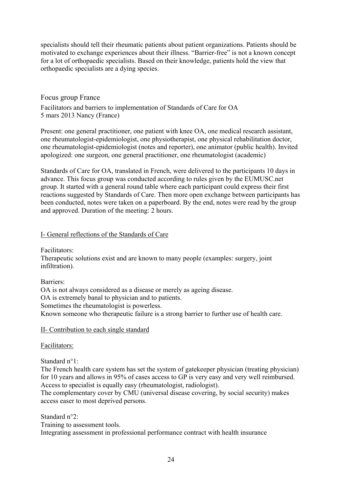<span id="page-23-0"></span>specialists should tell their rheumatic patients about patient organizations. Patients should be motivated to exchange experiences about their illness. "Barrier-free" is not a known concept for a lot of orthopaedic specialists. Based on their knowledge, patients hold the view that orthopaedic specialists are a dying species.

#### Focus group France

Facilitators and barriers to implementation of Standards of Care for OA 5 mars 2013 Nancy (France)

Present: one general practitioner, one patient with knee OA, one medical research assistant, one rheumatologist-epidemiologist, one physiotherapist, one physical rehabilitation doctor, one rheumatologist-epidemiologist (notes and reporter), one animator (public health). Invited apologized: one surgeon, one general practitioner, one rheumatologist (academic)

Standards of Care for OA, translated in French, were delivered to the participants 10 days in advance. This focus group was conducted according to rules given by the EUMUSC.net group. It started with a general round table where each participant could express their first reactions suggested by Standards of Care. Then more open exchange between participants has been conducted, notes were taken on a paperboard. By the end, notes were read by the group and approved. Duration of the meeting: 2 hours.

#### I- General reflections of the Standards of Care

Facilitators:

Therapeutic solutions exist and are known to many people (examples: surgery, joint infiltration).

Barriers:

OA is not always considered as a disease or merely as ageing disease. OA is extremely banal to physician and to patients.

Sometimes the rheumatologist is powerless.

Known someone who therapeutic failure is a strong barrier to further use of health care.

#### II- Contribution to each single standard

Facilitators:

Standard n°1:

The French health care system has set the system of gatekeeper physician (treating physician) for 10 years and allows in 95% of cases access to GP is very easy and very well reimbursed. Access to specialist is equally easy (rheumatologist, radiologist).

The complementary cover by CMU (universal disease covering, by social security) makes access easer to most deprived persons.

Standard n°2: Training to assessment tools. Integrating assessment in professional performance contract with health insurance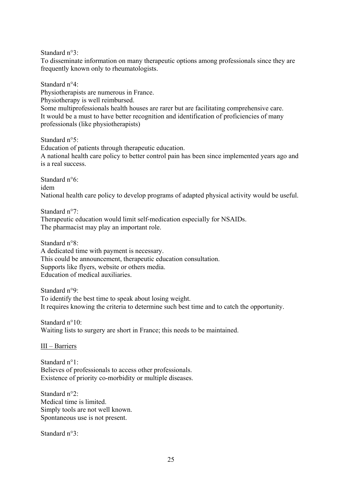Standard n°3:

To disseminate information on many therapeutic options among professionals since they are frequently known only to rheumatologists.

Standard n°4: Physiotherapists are numerous in France. Physiotherapy is well reimbursed. Some multiprofessionals health houses are rarer but are facilitating comprehensive care. It would be a must to have better recognition and identification of proficiencies of many professionals (like physiotherapists)

Standard n°5: Education of patients through therapeutic education. A national health care policy to better control pain has been since implemented years ago and is a real success.

Standard n°6: idem National health care policy to develop programs of adapted physical activity would be useful.

Standard n°7:

Therapeutic education would limit self-medication especially for NSAIDs. The pharmacist may play an important role.

Standard n°8:

A dedicated time with payment is necessary. This could be announcement, therapeutic education consultation. Supports like flyers, website or others media. Education of medical auxiliaries.

Standard n°9: To identify the best time to speak about losing weight. It requires knowing the criteria to determine such best time and to catch the opportunity.

Standard n°10: Waiting lists to surgery are short in France; this needs to be maintained.

III – Barriers

Standard n°1: Believes of professionals to access other professionals. Existence of priority co-morbidity or multiple diseases.

Standard n°2: Medical time is limited. Simply tools are not well known. Spontaneous use is not present.

Standard n°3: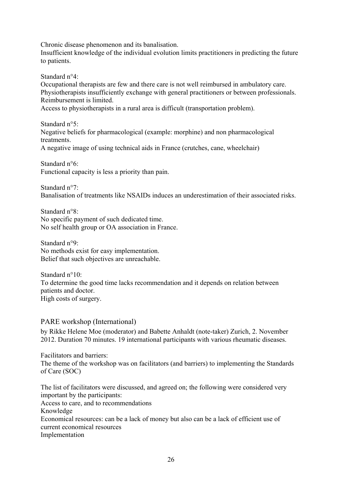<span id="page-25-0"></span>Chronic disease phenomenon and its banalisation.

Insufficient knowledge of the individual evolution limits practitioners in predicting the future to patients.

Standard n°4:

Occupational therapists are few and there care is not well reimbursed in ambulatory care. Physiotherapists insufficiently exchange with general practitioners or between professionals. Reimbursement is limited.

Access to physiotherapists in a rural area is difficult (transportation problem).

Standard n°5<sup>-</sup> Negative beliefs for pharmacological (example: morphine) and non pharmacological treatments.

A negative image of using technical aids in France (crutches, cane, wheelchair)

Standard n°6: Functional capacity is less a priority than pain.

Standard n°7: Banalisation of treatments like NSAIDs induces an underestimation of their associated risks.

Standard n°8: No specific payment of such dedicated time. No self health group or OA association in France.

Standard n°9: No methods exist for easy implementation. Belief that such objectives are unreachable.

Standard n°10: To determine the good time lacks recommendation and it depends on relation between patients and doctor. High costs of surgery.

#### PARE workshop (International)

by Rikke Helene Moe (moderator) and Babette Anhaldt (note-taker) Zurich, 2. November 2012. Duration 70 minutes. 19 international participants with various rheumatic diseases.

Facilitators and barriers: The theme of the workshop was on facilitators (and barriers) to implementing the Standards of Care (SOC)

The list of facilitators were discussed, and agreed on; the following were considered very important by the participants:

Access to care, and to recommendations

Knowledge

Economical resources: can be a lack of money but also can be a lack of efficient use of current economical resources

Implementation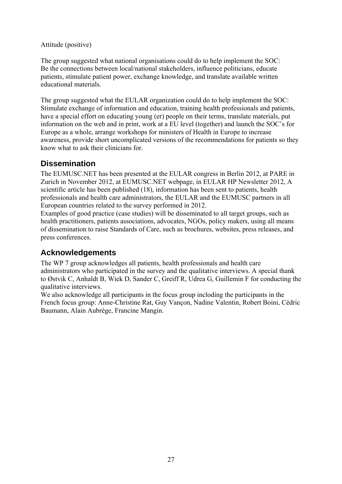#### <span id="page-26-0"></span>Attitude (positive)

The group suggested what national organisations could do to help implement the SOC: Be the connections between local/national stakeholders, influence politicians, educate patients, stimulate patient power, exchange knowledge, and translate available written educational materials.

The group suggested what the EULAR organization could do to help implement the SOC: Stimulate exchange of information and education, training health professionals and patients, have a special effort on educating young (er) people on their terms, translate materials, put information on the web and in print, work at a EU level (together) and launch the SOC's for Europe as a whole, arrange workshops for ministers of Health in Europe to increase awareness, provide short uncomplicated versions of the recommendations for patients so they know what to ask their clinicians for.

## **Dissemination**

The EUMUSC.NET has been presented at the EULAR congress in Berlin 2012, at PARE in Zurich in November 2012, at EUMUSC.NET webpage, in EULAR HP Newsletter 2012, A scientific article has been published (18), information has been sent to patients, health professionals and health care administrators, the EULAR and the EUMUSC partners in all European countries related to the survey performed in 2012.

Examples of good practice (case studies) will be disseminated to all target groups, such as health practitioners, patients associations, advocates, NGOs, policy makers, using all means of dissemination to raise Standards of Care, such as brochures, websites, press releases, and press conferences.

## **Acknowledgements**

The WP 7 group acknowledges all patients, health professionals and health care administrators who participated in the survey and the qualitative interviews. A special thank to Østvik C, Anhaldt B, Wiek D, Sander C, Greiff R, Udrea G, Guillemin F for conducting the qualitative interviews.

We also acknowledge all participants in the focus group incloding the participants in the French focus group: Anne-Christine Rat, Guy Vançon, Nadine Valentin, Robert Boini, Cédric Baumann, Alain Aubrège, Francine Mangin.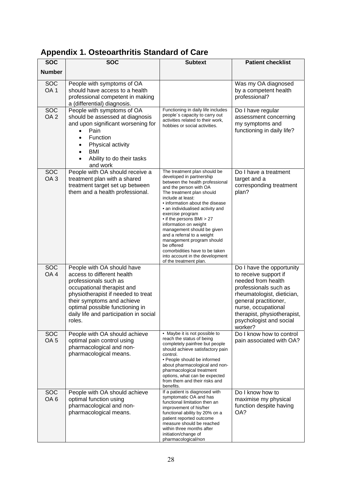| <b>SOC</b>                    | <b>SOC</b>                                                                                                                                                                                                                                                                 | <b>Subtext</b>                                                                                                                                                                                                                                                                                                                                                                                                                                                                                                                 | <b>Patient checklist</b>                                                                                                                                                                                                                             |
|-------------------------------|----------------------------------------------------------------------------------------------------------------------------------------------------------------------------------------------------------------------------------------------------------------------------|--------------------------------------------------------------------------------------------------------------------------------------------------------------------------------------------------------------------------------------------------------------------------------------------------------------------------------------------------------------------------------------------------------------------------------------------------------------------------------------------------------------------------------|------------------------------------------------------------------------------------------------------------------------------------------------------------------------------------------------------------------------------------------------------|
| <b>Number</b>                 |                                                                                                                                                                                                                                                                            |                                                                                                                                                                                                                                                                                                                                                                                                                                                                                                                                |                                                                                                                                                                                                                                                      |
| <b>SOC</b><br>OA <sub>1</sub> | People with symptoms of OA<br>should have access to a health<br>professional competent in making<br>a (differential) diagnosis.                                                                                                                                            |                                                                                                                                                                                                                                                                                                                                                                                                                                                                                                                                | Was my OA diagnosed<br>by a competent health<br>professional?                                                                                                                                                                                        |
| <b>SOC</b><br>OA <sub>2</sub> | People with symptoms of OA<br>should be assessed at diagnosis<br>and upon significant worsening for<br>Pain<br>Function<br>Physical activity<br>٠<br><b>BMI</b><br>Ability to do their tasks<br>and work                                                                   | Functioning in daily life includes<br>people's capacity to carry out<br>activities related to their work,<br>hobbies or social activities.                                                                                                                                                                                                                                                                                                                                                                                     | Do I have regular<br>assessment concerning<br>my symptoms and<br>functioning in daily life?                                                                                                                                                          |
| <b>SOC</b><br>OA <sub>3</sub> | People with OA should receive a<br>treatment plan with a shared<br>treatment target set up between<br>them and a health professional.                                                                                                                                      | The treatment plan should be<br>developed in partnership<br>between the health professional<br>and the person with OA<br>The treatment plan should<br>include at least:<br>• information about the disease<br>• an individualised activity and<br>exercise program<br>• if the persons BMI > 27<br>information on weight<br>management should be given<br>and a referral to a weight<br>management program should<br>be offered<br>comorbidities have to be taken<br>into account in the development<br>of the treatment plan. | Do I have a treatment<br>target and a<br>corresponding treatment<br>plan?                                                                                                                                                                            |
| <b>SOC</b><br>OA <sub>4</sub> | People with OA should have<br>access to different health<br>professionals such as<br>occupational therapist and<br>physiotherapist if needed to treat<br>their symptoms and achieve<br>optimal possible functioning in<br>daily life and participation in social<br>roles. |                                                                                                                                                                                                                                                                                                                                                                                                                                                                                                                                | Do I have the opportunity<br>to receive support if<br>needed from health<br>professionals such as<br>rheumatologist, dietician,<br>general practitioner,<br>nurse, occupational<br>therapist, physiotherapist,<br>psychologist and social<br>worker? |
| <b>SOC</b><br>OA <sub>5</sub> | People with OA should achieve<br>optimal pain control using<br>pharmacological and non-<br>pharmacological means.                                                                                                                                                          | • Maybe it is not possible to<br>reach the status of being<br>completely painfree but people<br>should achieve satisfactory pain<br>control.<br>• People should be informed<br>about pharmacological and non-<br>pharmacological treatment<br>options, what can be expected<br>from them and their risks and<br>benefits.                                                                                                                                                                                                      | Do I know how to control<br>pain associated with OA?                                                                                                                                                                                                 |
| <b>SOC</b><br>OA <sub>6</sub> | People with OA should achieve<br>optimal function using<br>pharmacological and non-<br>pharmacological means.                                                                                                                                                              | If a patient is diagnosed with<br>symptomatic OA and has<br>functional limitation then an<br>improvement of his/her<br>functional ability by 20% on a<br>patient reported outcome<br>measure should be reached<br>within three months after<br>initiation/change of<br>pharmacological/non                                                                                                                                                                                                                                     | Do I know how to<br>maximise my physical<br>function despite having<br>OA?                                                                                                                                                                           |

## <span id="page-27-0"></span>**Appendix 1. Osteoarthritis Standard of Care**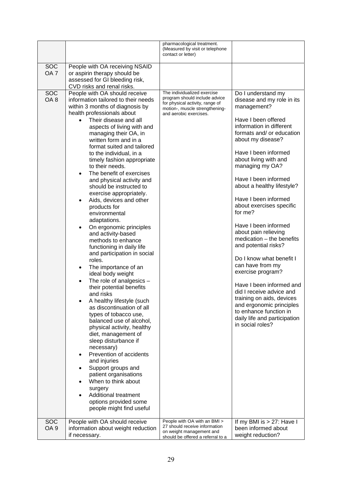|                               |                                                                                                                                                                                                                                                                                                                                                                                                                                                                                                                                                                                                                                                                                                                                                                                                                                                                                                                                                                                                                                                                                                                                                                                                                                         | pharmacological treatment.<br>(Measured by visit or telephone<br>contact or letter)                                                                         |                                                                                                                                                                                                                                                                                                                                                                                                                                                                                                                                                                                                                                                                                                                                         |
|-------------------------------|-----------------------------------------------------------------------------------------------------------------------------------------------------------------------------------------------------------------------------------------------------------------------------------------------------------------------------------------------------------------------------------------------------------------------------------------------------------------------------------------------------------------------------------------------------------------------------------------------------------------------------------------------------------------------------------------------------------------------------------------------------------------------------------------------------------------------------------------------------------------------------------------------------------------------------------------------------------------------------------------------------------------------------------------------------------------------------------------------------------------------------------------------------------------------------------------------------------------------------------------|-------------------------------------------------------------------------------------------------------------------------------------------------------------|-----------------------------------------------------------------------------------------------------------------------------------------------------------------------------------------------------------------------------------------------------------------------------------------------------------------------------------------------------------------------------------------------------------------------------------------------------------------------------------------------------------------------------------------------------------------------------------------------------------------------------------------------------------------------------------------------------------------------------------------|
| <b>SOC</b><br>OA <sub>7</sub> | People with OA receiving NSAID<br>or aspirin therapy should be<br>assessed for GI bleeding risk,<br>CVD risks and renal risks.                                                                                                                                                                                                                                                                                                                                                                                                                                                                                                                                                                                                                                                                                                                                                                                                                                                                                                                                                                                                                                                                                                          |                                                                                                                                                             |                                                                                                                                                                                                                                                                                                                                                                                                                                                                                                                                                                                                                                                                                                                                         |
| <b>SOC</b><br>OA <sub>8</sub> | People with OA should receive<br>information tailored to their needs<br>within 3 months of diagnosis by<br>health professionals about<br>Their disease and all<br>aspects of living with and<br>managing their OA, in<br>written form and in a<br>format suited and tailored<br>to the individual, in a<br>timely fashion appropriate<br>to their needs.<br>The benefit of exercises<br>and physical activity and<br>should be instructed to<br>exercise appropriately.<br>Aids, devices and other<br>products for<br>environmental<br>adaptations.<br>On ergonomic principles<br>and activity-based<br>methods to enhance<br>functioning in daily life<br>and participation in social<br>roles.<br>The importance of an<br>ideal body weight<br>The role of analgesics $-$<br>their potential benefits<br>and risks<br>A healthy lifestyle (such<br>as discontinuation of all<br>types of tobacco use,<br>balanced use of alcohol,<br>physical activity, healthy<br>diet, management of<br>sleep disturbance if<br>necessary)<br>Prevention of accidents<br>and injuries<br>Support groups and<br>patient organisations<br>When to think about<br>surgery<br>Additional treatment<br>options provided some<br>people might find useful | The individualized exercise<br>program should include advice<br>for physical activity, range of<br>motion-, muscle strengthening-<br>and aerobic exercises. | Do I understand my<br>disease and my role in its<br>management?<br>Have I been offered<br>information in different<br>formats and/ or education<br>about my disease?<br>Have I been informed<br>about living with and<br>managing my OA?<br>Have I been informed<br>about a healthy lifestyle?<br>Have I been informed<br>about exercises specific<br>for me?<br>Have I been informed<br>about pain relieving<br>$mediation - the benefits$<br>and potential risks?<br>Do I know what benefit I<br>can have from my<br>exercise program?<br>Have I been informed and<br>did I receive advice and<br>training on aids, devices<br>and ergonomic principles<br>to enhance function in<br>daily life and participation<br>in social roles? |
| <b>SOC</b><br>OA <sub>9</sub> | People with OA should receive<br>information about weight reduction<br>if necessary.                                                                                                                                                                                                                                                                                                                                                                                                                                                                                                                                                                                                                                                                                                                                                                                                                                                                                                                                                                                                                                                                                                                                                    | People with OA with an BMI ><br>27 should receive information<br>on weight management and<br>should be offered a referral to a                              | If my BMI is $> 27$ : Have I<br>been informed about<br>weight reduction?                                                                                                                                                                                                                                                                                                                                                                                                                                                                                                                                                                                                                                                                |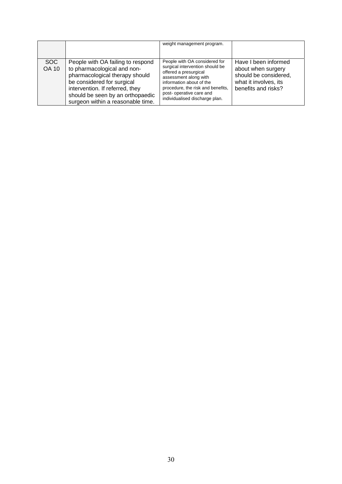|                      |                                                                                                                                                                                                                                              | weight management program.                                                                                                                                                                                                                       |                                                                                                                     |
|----------------------|----------------------------------------------------------------------------------------------------------------------------------------------------------------------------------------------------------------------------------------------|--------------------------------------------------------------------------------------------------------------------------------------------------------------------------------------------------------------------------------------------------|---------------------------------------------------------------------------------------------------------------------|
| SOC.<br><b>OA 10</b> | People with OA failing to respond<br>to pharmacological and non-<br>pharmacological therapy should<br>be considered for surgical<br>intervention. If referred, they<br>should be seen by an orthopaedic<br>surgeon within a reasonable time. | People with OA considered for<br>surgical intervention should be<br>offered a presurgical<br>assessment along with<br>information about of the<br>procedure, the risk and benefits,<br>post-operative care and<br>individualised discharge plan. | Have I been informed<br>about when surgery<br>should be considered,<br>what it involves, its<br>benefits and risks? |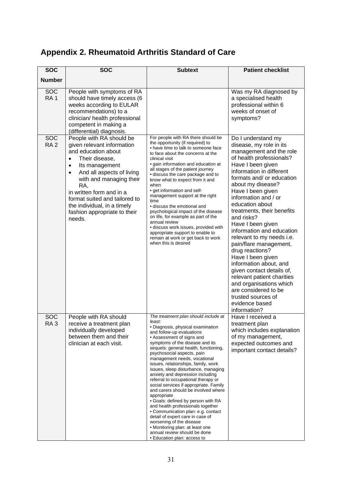| <b>SOC</b>                    | <b>SOC</b>                                                                                                                                                                                                                                                                                                                                                    | <b>Subtext</b>                                                                                                                                                                                                                                                                                                                                                                                                                                                                                                                                                                                                                                                                                                                                                                                       | <b>Patient checklist</b>                                                                                                                                                                                                                                                                                                                                                                                                                                                                                                                                                                                                                                            |
|-------------------------------|---------------------------------------------------------------------------------------------------------------------------------------------------------------------------------------------------------------------------------------------------------------------------------------------------------------------------------------------------------------|------------------------------------------------------------------------------------------------------------------------------------------------------------------------------------------------------------------------------------------------------------------------------------------------------------------------------------------------------------------------------------------------------------------------------------------------------------------------------------------------------------------------------------------------------------------------------------------------------------------------------------------------------------------------------------------------------------------------------------------------------------------------------------------------------|---------------------------------------------------------------------------------------------------------------------------------------------------------------------------------------------------------------------------------------------------------------------------------------------------------------------------------------------------------------------------------------------------------------------------------------------------------------------------------------------------------------------------------------------------------------------------------------------------------------------------------------------------------------------|
| <b>Number</b>                 |                                                                                                                                                                                                                                                                                                                                                               |                                                                                                                                                                                                                                                                                                                                                                                                                                                                                                                                                                                                                                                                                                                                                                                                      |                                                                                                                                                                                                                                                                                                                                                                                                                                                                                                                                                                                                                                                                     |
| <b>SOC</b><br>RA <sub>1</sub> | People with symptoms of RA<br>should have timely access (6<br>weeks according to EULAR<br>recommendations) to a<br>clinician/ health professional<br>competent in making a<br>(differential) diagnosis.                                                                                                                                                       |                                                                                                                                                                                                                                                                                                                                                                                                                                                                                                                                                                                                                                                                                                                                                                                                      | Was my RA diagnosed by<br>a specialised health<br>professional within 6<br>weeks of onset of<br>symptoms?                                                                                                                                                                                                                                                                                                                                                                                                                                                                                                                                                           |
| <b>SOC</b><br>RA <sub>2</sub> | People with RA should be<br>given relevant information<br>and education about<br>Their disease,<br>$\bullet$<br>Its management<br>$\bullet$<br>And all aspects of living<br>$\bullet$<br>with and managing their<br>RA,<br>in written form and in a<br>format suited and tailored to<br>the individual, in a timely<br>fashion appropriate to their<br>needs. | For people with RA there should be<br>the opportunity (if required) to<br>• have time to talk to someone face<br>to face about the concerns at the<br>clinical visit<br>• gain information and education at<br>all stages of the patient journey<br>• discuss the care package and to<br>know what to expect from it and<br>when<br>• get information and self-<br>management support at the right<br>time<br>• discuss the emotional and<br>psychological impact of the disease<br>on life, for example as part of the<br>annual review<br>· discuss work issues, provided with<br>appropriate support to enable to<br>remain at work or get back to work<br>when this is desired                                                                                                                   | Do I understand my<br>disease, my role in its<br>management and the role<br>of health professionals?<br>Have I been given<br>information in different<br>formats and/or education<br>about my disease?<br>Have I been given<br>information and / or<br>education about<br>treatments, their benefits<br>and risks?<br>Have I been given<br>information and education<br>relevant to my needs i.e.<br>pain/flare management,<br>drug reactions?<br>Have I been given<br>information about, and<br>given contact details of,<br>relevant patient charities<br>and organisations which<br>are considered to be<br>trusted sources of<br>evidence based<br>information? |
| <b>SOC</b><br>RA <sub>3</sub> | People with RA should<br>receive a treatment plan<br>individually developed<br>between them and their<br>clinician at each visit.                                                                                                                                                                                                                             | The treatment plan should include at<br>least:<br>• Diagnosis, physical examination<br>and follow-up evaluations<br>• Assessment of signs and<br>symptoms of the disease and its<br>sequels: general health, functioning,<br>psychosocial aspects, pain<br>management needs, vocational<br>issues, relationships, family, work<br>issues, sleep disturbance, managing<br>anxiety and depression including<br>referral to occupational therapy or<br>social services if appropriate. Family<br>and carers should be involved where<br>appropriate<br>• Goals: defined by person with RA<br>and health professionals together<br>• Communication plan: e.g. contact<br>detail of expert care in case of<br>worsening of the disease<br>• Monitoring plan: at least one<br>annual review should be done | Have I received a<br>treatment plan<br>which includes explanation<br>of my management,<br>expected outcomes and<br>important contact details?                                                                                                                                                                                                                                                                                                                                                                                                                                                                                                                       |

## <span id="page-30-0"></span>**Appendix 2. Rheumatoid Arthritis Standard of Care**

• Education plan: access to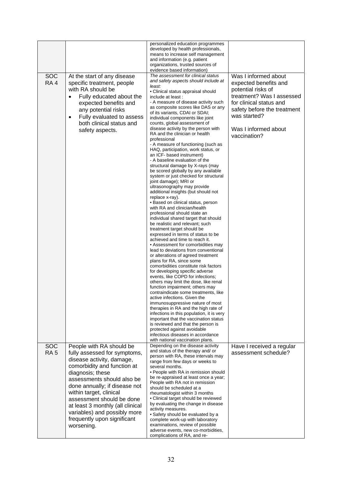|                 |                                        | personalized education programmes<br>developed by health professionals,            |                             |
|-----------------|----------------------------------------|------------------------------------------------------------------------------------|-----------------------------|
|                 |                                        | means to increase self management                                                  |                             |
|                 |                                        | and information (e.g. patient                                                      |                             |
|                 |                                        | organizations, trusted sources of                                                  |                             |
|                 |                                        | evidence based information)<br>The assessment for clinical status                  |                             |
| <b>SOC</b>      | At the start of any disease            | and safety aspects should include at                                               | Was I informed about        |
| RA <sub>4</sub> | specific treatment, people             | least:                                                                             | expected benefits and       |
|                 | with RA should be                      | · Clinical status appraisal should                                                 | potential risks of          |
|                 | Fully educated about the<br>$\bullet$  | include at least :                                                                 | treatment? Was I assessed   |
|                 | expected benefits and                  | - A measure of disease activity such<br>as composite scores like DAS or any        | for clinical status and     |
|                 | any potential risks                    | of its variants, CDAI or SDAI;                                                     | safety before the treatment |
|                 | Fully evaluated to assess<br>$\bullet$ | individual components like joint                                                   | was started?                |
|                 | both clinical status and               | counts, global assessment of                                                       |                             |
|                 | safety aspects.                        | disease activity by the person with<br>RA and the clinician or health              | Was I informed about        |
|                 |                                        | professional                                                                       | vaccination?                |
|                 |                                        | - A measure of functioning (such as                                                |                             |
|                 |                                        | HAQ, participation, work status, or                                                |                             |
|                 |                                        | an ICF- based instrument)<br>- A baseline evaluation of the                        |                             |
|                 |                                        | structural damage by X-rays (may                                                   |                             |
|                 |                                        | be scored globally by any available                                                |                             |
|                 |                                        | system or just checked for structural                                              |                             |
|                 |                                        | joint damage); MRI or<br>ultrasonography may provide                               |                             |
|                 |                                        | additional insights (but should not                                                |                             |
|                 |                                        | replace x-ray).                                                                    |                             |
|                 |                                        | • Based on clinical status, person                                                 |                             |
|                 |                                        | with RA and clinician/health<br>professional should state an                       |                             |
|                 |                                        | individual shared target that should                                               |                             |
|                 |                                        | be realistic and relevant; such                                                    |                             |
|                 |                                        | treatment target should be<br>expressed in terms of status to be                   |                             |
|                 |                                        | achieved and time to reach it.                                                     |                             |
|                 |                                        | • Assessment for comorbidities may                                                 |                             |
|                 |                                        | lead to deviations from conventional                                               |                             |
|                 |                                        | or alterations of agreed treatment<br>plans for RA, since some                     |                             |
|                 |                                        | comorbidities constitute risk factors                                              |                             |
|                 |                                        | for developing specific adverse                                                    |                             |
|                 |                                        | events, like COPD for infections;                                                  |                             |
|                 |                                        | others may limit the dose, like renal                                              |                             |
|                 |                                        | function impairment; others may<br>contraindicate some treatments, like            |                             |
|                 |                                        | active infections. Given the                                                       |                             |
|                 |                                        | immunosuppressive nature of most                                                   |                             |
|                 |                                        | therapies in RA and the high rate of                                               |                             |
|                 |                                        | infections in this population, it is very<br>important that the vaccination status |                             |
|                 |                                        | is reviewed and that the person is                                                 |                             |
|                 |                                        | protected against avoidable                                                        |                             |
|                 |                                        | infectious diseases in accordance<br>with national vaccination plans.              |                             |
| SOC             | People with RA should be               | Depending on the disease activity                                                  | Have I received a regular   |
| RA <sub>5</sub> | fully assessed for symptoms,           | and status of the therapy and/ or                                                  | assessment schedule?        |
|                 | disease activity, damage,              | person with RA, these intervals may                                                |                             |
|                 | comorbidity and function at            | range from few days or weeks to<br>several months.                                 |                             |
|                 | diagnosis; these                       | • People with RA in remission should                                               |                             |
|                 | assessments should also be             | be re-appraised at least once a year;                                              |                             |
|                 | done annually; if disease not          | People with RA not in remission<br>should be scheduled at a                        |                             |
|                 | within target, clinical                | rheumatologist within 3 months                                                     |                             |
|                 | assessment should be done              | • Clinical target should be reviewed                                               |                             |
|                 | at least 3 monthly (all clinical       | by evaluating the change in disease                                                |                             |
|                 | variables) and possibly more           | activity measures.<br>• Safety should be evaluated by a                            |                             |
|                 | frequently upon significant            | complete work-up with laboratory                                                   |                             |
|                 | worsening.                             | examinations, review of possible                                                   |                             |
|                 |                                        | adverse events, new co-morbidities,<br>complications of RA, and re-                |                             |
|                 |                                        |                                                                                    |                             |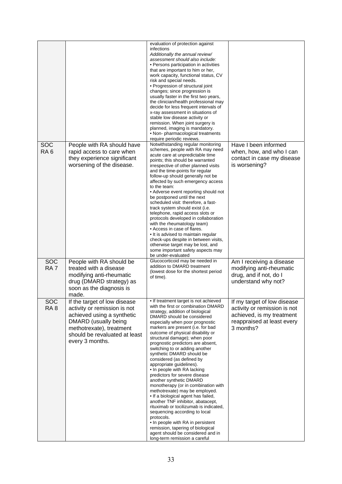| <b>SOC</b><br>RA <sub>6</sub> | People with RA should have<br>rapid access to care when<br>they experience significant<br>worsening of the disease.                                                                                | evaluation of protection against<br>infections<br>Additionally the annual review/<br>assessment should also include:<br>• Persons participation in activities<br>that are important to him or her,<br>work capacity, functional status, CV<br>risk and special needs.<br>• Progression of structural joint<br>changes; since progression is<br>usually faster in the first two years,<br>the clinician/health professional may<br>decide for less frequent intervals of<br>x-ray assessment in situations of<br>stable low disease activity or<br>remission. When joint surgery is<br>planned, imaging is mandatory.<br>• Non- pharmacological treatments<br>require periodic reviews.<br>Notwithstanding regular monitoring<br>schemes, people with RA may need<br>acute care at unpredictable time<br>points; this should be warranted<br>irrespective of other planned visits<br>and the time-points for regular<br>follow-up should generally not be<br>affected by such emergency access<br>to the team:<br>• Adverse event reporting should not<br>be postponed until the next<br>scheduled visit: therefore, a fast-<br>track system should exist (i.e.<br>telephone, rapid access slots or<br>protocols developed in collaboration<br>with the rheumatology team)<br>• Access in case of flares. | Have I been informed<br>when, how, and who I can<br>contact in case my disease<br>is worsening?                                     |
|-------------------------------|----------------------------------------------------------------------------------------------------------------------------------------------------------------------------------------------------|----------------------------------------------------------------------------------------------------------------------------------------------------------------------------------------------------------------------------------------------------------------------------------------------------------------------------------------------------------------------------------------------------------------------------------------------------------------------------------------------------------------------------------------------------------------------------------------------------------------------------------------------------------------------------------------------------------------------------------------------------------------------------------------------------------------------------------------------------------------------------------------------------------------------------------------------------------------------------------------------------------------------------------------------------------------------------------------------------------------------------------------------------------------------------------------------------------------------------------------------------------------------------------------------------------|-------------------------------------------------------------------------------------------------------------------------------------|
|                               |                                                                                                                                                                                                    | • It is advised to maintain regular<br>check-ups despite in between visits,<br>otherwise target may be lost, and<br>some important safety aspects may<br>be under-evaluated                                                                                                                                                                                                                                                                                                                                                                                                                                                                                                                                                                                                                                                                                                                                                                                                                                                                                                                                                                                                                                                                                                                              |                                                                                                                                     |
| <b>SOC</b><br>RA <sub>7</sub> | People with RA should be<br>treated with a disease<br>modifying anti-rheumatic<br>drug (DMARD strategy) as<br>soon as the diagnosis is<br>made.                                                    | Glucocorticoid may be needed in<br>addition to DMARD treatment<br>(lowest dose for the shortest period<br>of time).                                                                                                                                                                                                                                                                                                                                                                                                                                                                                                                                                                                                                                                                                                                                                                                                                                                                                                                                                                                                                                                                                                                                                                                      | Am I receiving a disease<br>modifying anti-rheumatic<br>drug, and if not, do I<br>understand why not?                               |
| <b>SOC</b><br>RA <sub>8</sub> | If the target of low disease<br>activity or remission is not<br>achieved using a synthetic<br>DMARD (usually being<br>methotrexate), treatment<br>should be revaluated at least<br>every 3 months. | • If treatment target is not achieved<br>with the first or combination DMARD<br>strategy, addition of biological<br>DMARD should be considered<br>especially when poor prognostic<br>markers are present (i.e. for bad<br>outcome of physical disability or<br>structural damage); when poor<br>prognostic predictors are absent,<br>switching to or adding another<br>synthetic DMARD should be<br>considered (as defined by<br>appropriate guidelines).<br>• In people with RA lacking<br>predictors for severe disease<br>another synthetic DMARD<br>monotherapy (or in combination with<br>methotrexate) may be employed.<br>. If a biological agent has failed,<br>another TNF inhibitor, abatacept,<br>rituximab or tocilizumab is indicated,<br>sequencing according to local<br>protocols.<br>• In people with RA in persistent<br>remission, tapering of biological<br>agent should be considered and in<br>long-term remission a careful                                                                                                                                                                                                                                                                                                                                                       | If my target of low disease<br>activity or remission is not<br>achieved, is my treatment<br>reappraised at least every<br>3 months? |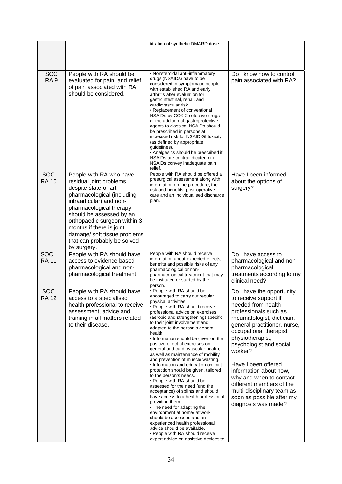|                            |                                                                                                                                                                                                                                                                                                                                       | titration of synthetic DMARD dose.                                                                                                                                                                                                                                                                                                                                                                                                                                                                                                                                                                                                                                                                                                                                                                                        |                                                                                                                                                                                                                                                                                                                                                                                                                                                |
|----------------------------|---------------------------------------------------------------------------------------------------------------------------------------------------------------------------------------------------------------------------------------------------------------------------------------------------------------------------------------|---------------------------------------------------------------------------------------------------------------------------------------------------------------------------------------------------------------------------------------------------------------------------------------------------------------------------------------------------------------------------------------------------------------------------------------------------------------------------------------------------------------------------------------------------------------------------------------------------------------------------------------------------------------------------------------------------------------------------------------------------------------------------------------------------------------------------|------------------------------------------------------------------------------------------------------------------------------------------------------------------------------------------------------------------------------------------------------------------------------------------------------------------------------------------------------------------------------------------------------------------------------------------------|
|                            |                                                                                                                                                                                                                                                                                                                                       |                                                                                                                                                                                                                                                                                                                                                                                                                                                                                                                                                                                                                                                                                                                                                                                                                           |                                                                                                                                                                                                                                                                                                                                                                                                                                                |
|                            |                                                                                                                                                                                                                                                                                                                                       |                                                                                                                                                                                                                                                                                                                                                                                                                                                                                                                                                                                                                                                                                                                                                                                                                           |                                                                                                                                                                                                                                                                                                                                                                                                                                                |
|                            |                                                                                                                                                                                                                                                                                                                                       |                                                                                                                                                                                                                                                                                                                                                                                                                                                                                                                                                                                                                                                                                                                                                                                                                           |                                                                                                                                                                                                                                                                                                                                                                                                                                                |
| SOC<br>RA <sub>9</sub>     | People with RA should be<br>evaluated for pain, and relief<br>of pain associated with RA<br>should be considered.                                                                                                                                                                                                                     | • Nonsteroidal anti-inflammatory<br>drugs (NSAIDs) have to be<br>considered in symptomatic people<br>with established RA and early<br>arthritis after evaluation for<br>gastrointestinal, renal, and<br>cardiovascular risk.<br>• Replacement of conventional<br>NSAIDs by COX-2 selective drugs,<br>or the addition of gastroprotective<br>agents to classical NSAIDs should<br>be prescribed in persons at<br>increased risk for NSAID GI toxicity<br>(as defined by appropriate<br>guidelines).<br>• Analgesics should be prescribed if<br>NSAIDs are contraindicated or if<br>NSAIDs convey inadequate pain<br>relief.                                                                                                                                                                                                | Do I know how to control<br>pain associated with RA?                                                                                                                                                                                                                                                                                                                                                                                           |
| <b>SOC</b><br><b>RA 10</b> | People with RA who have<br>residual joint problems<br>despite state-of-art<br>pharmacological (including<br>intraarticular) and non-<br>pharmacological therapy<br>should be assessed by an<br>orthopaedic surgeon within 3<br>months if there is joint<br>damage/ soft tissue problems<br>that can probably be solved<br>by surgery. | People with RA should be offered a<br>presurgical assessment along with<br>information on the procedure, the<br>risk and benefits, post-operative<br>care and an individualised discharge<br>plan.                                                                                                                                                                                                                                                                                                                                                                                                                                                                                                                                                                                                                        | Have I been informed<br>about the options of<br>surgery?                                                                                                                                                                                                                                                                                                                                                                                       |
| <b>SOC</b>                 | People with RA should have                                                                                                                                                                                                                                                                                                            | People with RA should receive                                                                                                                                                                                                                                                                                                                                                                                                                                                                                                                                                                                                                                                                                                                                                                                             | Do I have access to                                                                                                                                                                                                                                                                                                                                                                                                                            |
| <b>RA11</b>                | access to evidence based<br>pharmacological and non-<br>pharmacological treatment.                                                                                                                                                                                                                                                    | information about expected effects,<br>benefits and possible risks of any<br>pharmacological or non-<br>pharmacological treatment that may<br>be instituted or started by the<br>person.                                                                                                                                                                                                                                                                                                                                                                                                                                                                                                                                                                                                                                  | pharmacological and non-<br>pharmacological<br>treatments according to my<br>clinical need?                                                                                                                                                                                                                                                                                                                                                    |
| <b>SOC</b><br><b>RA 12</b> | People with RA should have<br>access to a specialised<br>health professional to receive<br>assessment, advice and<br>training in all matters related<br>to their disease.                                                                                                                                                             | • People with RA should be<br>encouraged to carry out regular<br>physical activities.<br>• People with RA should receive<br>professional advice on exercises<br>(aerobic and strengthening) specific<br>to their joint involvement and<br>adapted to the person's general<br>health.<br>• Information should be given on the<br>positive effect of exercises on<br>general and cardiovascular health,<br>as well as maintenance of mobility<br>and prevention of muscle wasting.<br>• Information and education on joint<br>protection should be given, tailored<br>to the person's needs.<br>• People with RA should be<br>assessed for the need (and the<br>acceptance) of splints and should<br>have access to a health professional<br>providing them.<br>• The need for adapting the<br>environment at home/ at work | Do I have the opportunity<br>to receive support if<br>needed from health<br>professionals such as<br>rheumatologist, dietician,<br>general practitioner, nurse,<br>occupational therapist,<br>physiotherapist,<br>psychologist and social<br>worker?<br>Have I been offered<br>information about how,<br>why and when to contact<br>different members of the<br>multi-disciplinary team as<br>soon as possible after my<br>diagnosis was made? |
|                            |                                                                                                                                                                                                                                                                                                                                       | should be assessed and an<br>experienced health professional<br>advice should be available.<br>• People with RA should receive<br>expert advice on assistive devices to                                                                                                                                                                                                                                                                                                                                                                                                                                                                                                                                                                                                                                                   |                                                                                                                                                                                                                                                                                                                                                                                                                                                |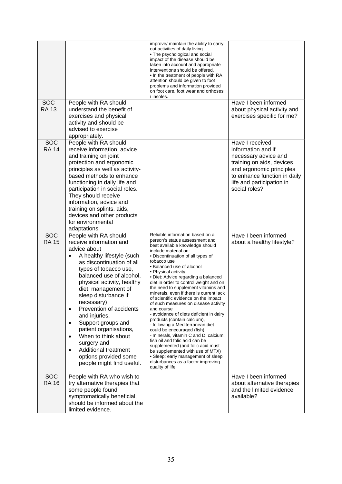| <b>SOC</b><br><b>RA 13</b> | People with RA should<br>understand the benefit of<br>exercises and physical<br>activity and should be                                                                                                                                                                                                                                                                                                                                                                                                                                              | improve/ maintain the ability to carry<br>out activities of daily living.<br>• The psychological and social<br>impact of the disease should be<br>taken into account and appropriate<br>interventions should be offered.<br>• In the treatment of people with RA<br>attention should be given to foot<br>problems and information provided<br>on foot care, foot wear and orthoses<br>/ insoles.                                                                                                                                                                                                                                                                                                                                                                                                                                                                                                      | Have I been informed<br>about physical activity and<br>exercises specific for me?                                                                                                                    |
|----------------------------|-----------------------------------------------------------------------------------------------------------------------------------------------------------------------------------------------------------------------------------------------------------------------------------------------------------------------------------------------------------------------------------------------------------------------------------------------------------------------------------------------------------------------------------------------------|-------------------------------------------------------------------------------------------------------------------------------------------------------------------------------------------------------------------------------------------------------------------------------------------------------------------------------------------------------------------------------------------------------------------------------------------------------------------------------------------------------------------------------------------------------------------------------------------------------------------------------------------------------------------------------------------------------------------------------------------------------------------------------------------------------------------------------------------------------------------------------------------------------|------------------------------------------------------------------------------------------------------------------------------------------------------------------------------------------------------|
|                            | advised to exercise<br>appropriately.                                                                                                                                                                                                                                                                                                                                                                                                                                                                                                               |                                                                                                                                                                                                                                                                                                                                                                                                                                                                                                                                                                                                                                                                                                                                                                                                                                                                                                       |                                                                                                                                                                                                      |
| <b>SOC</b><br><b>RA 14</b> | People with RA should<br>receive information, advice<br>and training on joint<br>protection and ergonomic<br>principles as well as activity-<br>based methods to enhance<br>functioning in daily life and<br>participation in social roles.<br>They should receive<br>information, advice and<br>training on splints, aids,<br>devices and other products<br>for environmental<br>adaptations.                                                                                                                                                      |                                                                                                                                                                                                                                                                                                                                                                                                                                                                                                                                                                                                                                                                                                                                                                                                                                                                                                       | Have I received<br>information and if<br>necessary advice and<br>training on aids, devices<br>and ergonomic principles<br>to enhance function in daily<br>life and participation in<br>social roles? |
| <b>SOC</b><br><b>RA 15</b> | People with RA should<br>receive information and<br>advice about<br>A healthy lifestyle (such<br>٠<br>as discontinuation of all<br>types of tobacco use,<br>balanced use of alcohol,<br>physical activity, healthy<br>diet, management of<br>sleep disturbance if<br>necessary)<br>Prevention of accidents<br>$\bullet$<br>and injuries,<br>Support groups and<br>$\bullet$<br>patient organisations,<br>When to think about<br>$\bullet$<br>surgery and<br>Additional treatment<br>$\bullet$<br>options provided some<br>people might find useful. | Reliable information based on a<br>person's status assessment and<br>best available knowledge should<br>include material on:<br>• Discontinuation of all types of<br>tobacco use<br>• Balanced use of alcohol<br>• Physical activity<br>· Diet: Advice regarding a balanced<br>diet in order to control weight and on<br>the need to supplement vitamins and<br>minerals, even if there is current lack<br>of scientific evidence on the impact<br>of such measures on disease activity<br>and course<br>- avoidance of diets deficient in dairy<br>products (contain calcium),<br>- following a Mediterranean diet<br>could be encouraged (fish)<br>- minerals, vitamin C and D, calcium,<br>fish oil and folic acid can be<br>supplemented (and folic acid must<br>be supplemented with use of MTX)<br>• Sleep: early management of sleep<br>disturbances as a factor improving<br>quality of life. | Have I been informed<br>about a healthy lifestyle?                                                                                                                                                   |
| <b>SOC</b><br><b>RA 16</b> | People with RA who wish to<br>try alternative therapies that<br>some people found<br>symptomatically beneficial,<br>should be informed about the<br>limited evidence.                                                                                                                                                                                                                                                                                                                                                                               |                                                                                                                                                                                                                                                                                                                                                                                                                                                                                                                                                                                                                                                                                                                                                                                                                                                                                                       | Have I been informed<br>about alternative therapies<br>and the limited evidence<br>available?                                                                                                        |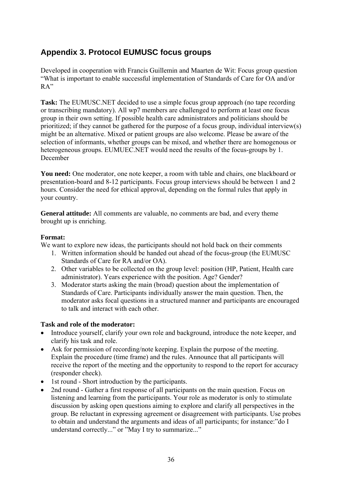## <span id="page-35-0"></span>**Appendix 3. Protocol EUMUSC focus groups**

Developed in cooperation with Francis Guillemin and Maarten de Wit: Focus group question "What is important to enable successful implementation of Standards of Care for OA and/or RA"

**Task:** The EUMUSC.NET decided to use a simple focus group approach (no tape recording or transcribing mandatory). All wp7 members are challenged to perform at least one focus group in their own setting. If possible health care administrators and politicians should be prioritized; if they cannot be gathered for the purpose of a focus group, individual interview(s) might be an alternative. Mixed or patient groups are also welcome. Please be aware of the selection of informants, whether groups can be mixed, and whether there are homogenous or heterogeneous groups. EUMUEC.NET would need the results of the focus-groups by 1. December

**You need:** One moderator, one note keeper, a room with table and chairs, one blackboard or presentation-board and 8-12 participants. Focus group interviews should be between 1 and 2 hours. Consider the need for ethical approval, depending on the formal rules that apply in your country.

**General attitude:** All comments are valuable, no comments are bad, and every theme brought up is enriching.

#### **Format:**

We want to explore new ideas, the participants should not hold back on their comments

- 1. Written information should be handed out ahead of the focus-group (the EUMUSC Standards of Care for RA and/or OA).
- 2. Other variables to be collected on the group level: position (HP, Patient, Health care administrator). Years experience with the position. Age? Gender?
- 3. Moderator starts asking the main (broad) question about the implementation of Standards of Care. Participants individually answer the main question. Then, the moderator asks focal questions in a structured manner and participants are encouraged to talk and interact with each other.

#### **Task and role of the moderator:**

- Introduce yourself, clarify your own role and background, introduce the note keeper, and clarify his task and role.
- Ask for permission of recording/note keeping. Explain the purpose of the meeting. Explain the procedure (time frame) and the rules. Announce that all participants will receive the report of the meeting and the opportunity to respond to the report for accuracy (responder check).
- 1st round Short introduction by the participants.
- 2nd round Gather a first response of all participants on the main question. Focus on listening and learning from the participants. Your role as moderator is only to stimulate discussion by asking open questions aiming to explore and clarify all perspectives in the group. Be reluctant in expressing agreement or disagreement with participants. Use probes to obtain and understand the arguments and ideas of all participants; for instance:"do I understand correctly..." or "May I try to summarize..."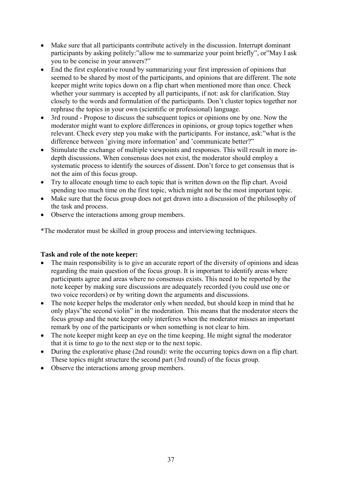- Make sure that all participants contribute actively in the discussion. Interrupt dominant participants by asking politely:"allow me to summarize your point briefly", or"May I ask you to be concise in your answers?"
- End the first explorative round by summarizing your first impression of opinions that seemed to be shared by most of the participants, and opinions that are different. The note keeper might write topics down on a flip chart when mentioned more than once. Check whether your summary is accepted by all participants, if not: ask for clarification. Stay closely to the words and formulation of the participants. Don't cluster topics together nor rephrase the topics in your own (scientific or professional) language.
- 3rd round Propose to discuss the subsequent topics or opinions one by one. Now the moderator might want to explore differences in opinions, or group topics together when relevant. Check every step you make with the participants. For instance, ask:"what is the difference between 'giving more information' and 'communicate better?"
- Stimulate the exchange of multiple viewpoints and responses. This will result in more indepth discussions. When consensus does not exist, the moderator should employ a systematic process to identify the sources of dissent. Don't force to get consensus that is not the aim of this focus group.
- Try to allocate enough time to each topic that is written down on the flip chart. Avoid spending too much time on the first topic, which might not be the most important topic.
- Make sure that the focus group does not get drawn into a discussion of the philosophy of the task and process.
- Observe the interactions among group members.

\*The moderator must be skilled in group process and interviewing techniques.

#### **Task and role of the note keeper:**

- The main responsibility is to give an accurate report of the diversity of opinions and ideas regarding the main question of the focus group. It is important to identify areas where participants agree and areas where no consensus exists. This need to be reported by the note keeper by making sure discussions are adequately recorded (you could use one or two voice recorders) or by writing down the arguments and discussions.
- The note keeper helps the moderator only when needed, but should keep in mind that he only plays"the second violin" in the moderation. This means that the moderator steers the focus group and the note keeper only interferes when the moderator misses an important remark by one of the participants or when something is not clear to him.
- The note keeper might keep an eye on the time keeping. He might signal the moderator that it is time to go to the next step or to the next topic.
- During the explorative phase (2nd round): write the occurring topics down on a flip chart. These topics might structure the second part (3rd round) of the focus group.
- Observe the interactions among group members.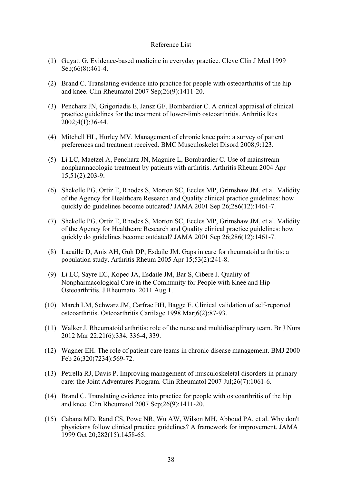#### Reference List

- (1) Guyatt G. Evidence-based medicine in everyday practice. Cleve Clin J Med 1999 Sep;66(8):461-4.
- (2) Brand C. Translating evidence into practice for people with osteoarthritis of the hip and knee. Clin Rheumatol 2007 Sep;26(9):1411-20.
- (3) Pencharz JN, Grigoriadis E, Jansz GF, Bombardier C. A critical appraisal of clinical practice guidelines for the treatment of lower-limb osteoarthritis. Arthritis Res 2002;4(1):36-44.
- (4) Mitchell HL, Hurley MV. Management of chronic knee pain: a survey of patient preferences and treatment received. BMC Musculoskelet Disord 2008;9:123.
- (5) Li LC, Maetzel A, Pencharz JN, Maguire L, Bombardier C. Use of mainstream nonpharmacologic treatment by patients with arthritis. Arthritis Rheum 2004 Apr 15;51(2):203-9.
- (6) Shekelle PG, Ortiz E, Rhodes S, Morton SC, Eccles MP, Grimshaw JM, et al. Validity of the Agency for Healthcare Research and Quality clinical practice guidelines: how quickly do guidelines become outdated? JAMA 2001 Sep 26;286(12):1461-7.
- (7) Shekelle PG, Ortiz E, Rhodes S, Morton SC, Eccles MP, Grimshaw JM, et al. Validity of the Agency for Healthcare Research and Quality clinical practice guidelines: how quickly do guidelines become outdated? JAMA 2001 Sep 26;286(12):1461-7.
- (8) Lacaille D, Anis AH, Guh DP, Esdaile JM. Gaps in care for rheumatoid arthritis: a population study. Arthritis Rheum 2005 Apr 15;53(2):241-8.
- (9) Li LC, Sayre EC, Kopec JA, Esdaile JM, Bar S, Cibere J. Quality of Nonpharmacological Care in the Community for People with Knee and Hip Osteoarthritis. J Rheumatol 2011 Aug 1.
- (10) March LM, Schwarz JM, Carfrae BH, Bagge E. Clinical validation of self-reported osteoarthritis. Osteoarthritis Cartilage 1998 Mar;6(2):87-93.
- (11) Walker J. Rheumatoid arthritis: role of the nurse and multidisciplinary team. Br J Nurs 2012 Mar 22;21(6):334, 336-4, 339.
- (12) Wagner EH. The role of patient care teams in chronic disease management. BMJ 2000 Feb 26;320(7234):569-72.
- (13) Petrella RJ, Davis P. Improving management of musculoskeletal disorders in primary care: the Joint Adventures Program. Clin Rheumatol 2007 Jul;26(7):1061-6.
- (14) Brand C. Translating evidence into practice for people with osteoarthritis of the hip and knee. Clin Rheumatol 2007 Sep;26(9):1411-20.
- (15) Cabana MD, Rand CS, Powe NR, Wu AW, Wilson MH, Abboud PA, et al. Why don't physicians follow clinical practice guidelines? A framework for improvement. JAMA 1999 Oct 20;282(15):1458-65.